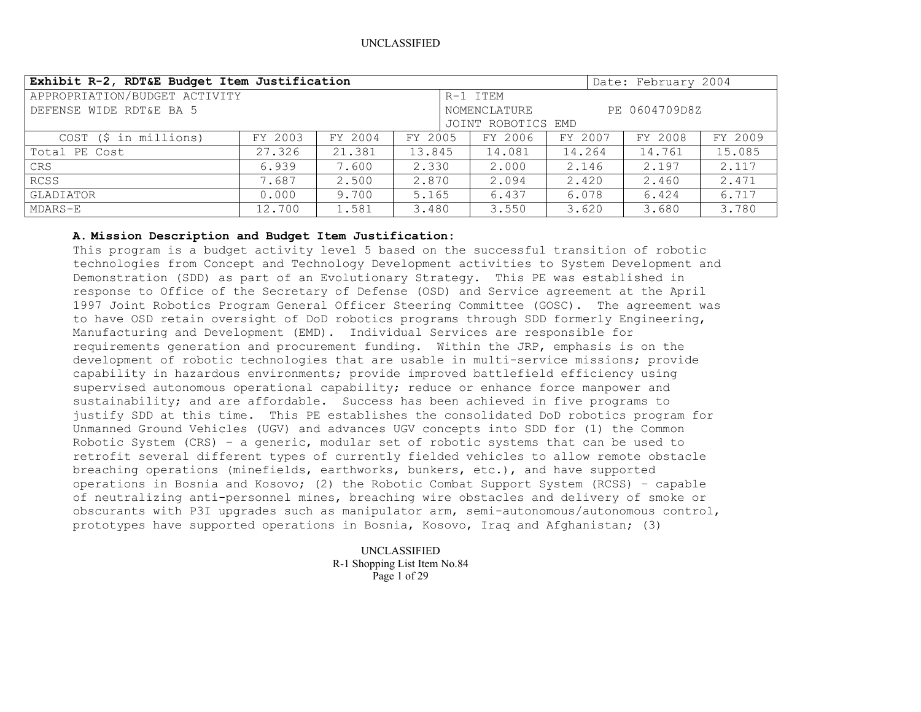| Exhibit R-2, RDT&E Budget Item Justification |         | Date: February 2004 |         |                    |         |               |         |
|----------------------------------------------|---------|---------------------|---------|--------------------|---------|---------------|---------|
| APPROPRIATION/BUDGET ACTIVITY                |         |                     |         |                    |         |               |         |
| DEFENSE WIDE RDT&E BA 5                      |         |                     |         | NOMENCLATURE       |         | PE 0604709D8Z |         |
|                                              |         |                     |         | JOINT ROBOTICS EMD |         |               |         |
| COST (\$ in millions)                        | FY 2003 | FY 2004             | FY 2005 | FY 2006            | FY 2007 | FY 2008       | FY 2009 |
| Total PE Cost                                | 27.326  | 21.381              | 13.845  | 14.081             | 14.264  | 14.761        | 15.085  |
| CRS                                          | 6.939   | 7.600               | 2.330   | 2.000              | 2.146   | 2.197         | 2.117   |
| <b>RCSS</b>                                  | 7.687   | 2.500               | 2.870   | 2.094              | 2.420   | 2.460         | 2.471   |
| <b>GLADIATOR</b>                             | 0.000   | 9.700               | 5.165   | 6.437              | 6.078   | 6.424         | 6.717   |
| MDARS-E                                      | 12.700  | 1.581               | 3.480   | 3.550              | 3.620   | 3.680         | 3.780   |

#### **A. Mission Description and Budget Item Justification:**

This program is a budget activity level 5 based on the successful transition of robotic technologies from Concept and Technology Development activities to System Development and Demonstration (SDD) as part of an Evolutionary Strategy. This PE was established in response to Office of the Secretary of Defense (OSD) and Service agreement at the April 1997 Joint Robotics Program General Officer Steering Committee (GOSC). The agreement was to have OSD retain oversight of DoD robotics programs through SDD formerly Engineering, Manufacturing and Development (EMD). Individual Services are responsible for requirements generation and procurement funding. Within the JRP, emphasis is on the development of robotic technologies that are usable in multi-service missions; provide capability in hazardous environments; provide improved battlefield efficiency using supervised autonomous operational capability; reduce or enhance force manpower and sustainability; and are affordable. Success has been achieved in five programs to justify SDD at this time. This PE establishes the consolidated DoD robotics program for Unmanned Ground Vehicles (UGV) and advances UGV concepts into SDD for (1) the Common Robotic System (CRS) – a generic, modular set of robotic systems that can be used to retrofit several different types of currently fielded vehicles to allow remote obstacle breaching operations (minefields, earthworks, bunkers, etc.), and have supported operations in Bosnia and Kosovo; (2) the Robotic Combat Support System (RCSS) – capable of neutralizing anti-personnel mines, breaching wire obstacles and delivery of smoke or obscurants with P3I upgrades such as manipulator arm, semi-autonomous/autonomous control, prototypes have supported operations in Bosnia, Kosovo, Iraq and Afghanistan; (3)

> UNCLASSIFIED R-1 Shopping List Item No.84 Page 1 of 29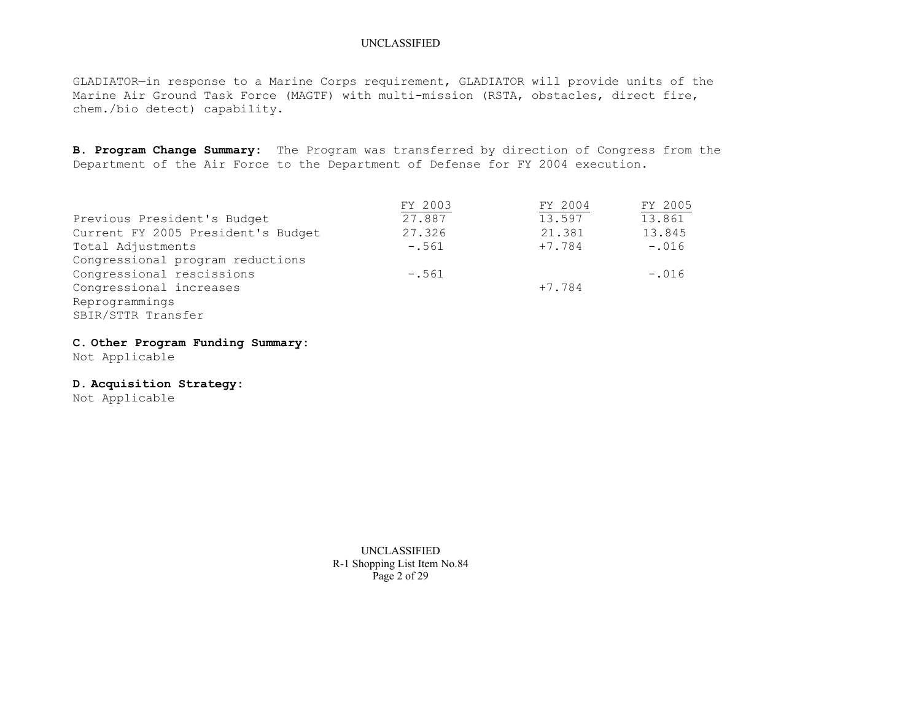GLADIATOR—in response to a Marine Corps requirement, GLADIATOR will provide units of the Marine Air Ground Task Force (MAGTF) with multi-mission (RSTA, obstacles, direct fire, chem./bio detect) capability.

**B. Program Change Summary:** The Program was transferred by direction of Congress from the Department of the Air Force to the Department of Defense for FY 2004 execution.

|          | FY 2005 |
|----------|---------|
| 13.597   | 13.861  |
| 21.381   | 13.845  |
| $+7.784$ | $-.016$ |
|          |         |
|          | $-.016$ |
| $+7.784$ |         |
|          |         |
|          |         |
|          | FY 2004 |

**C. Other Program Funding Summary:**

Not Applicable

# **D. Acquisition Strategy:**

Not Applicable

UNCLASSIFIED R-1 Shopping List Item No.84 Page 2 of 29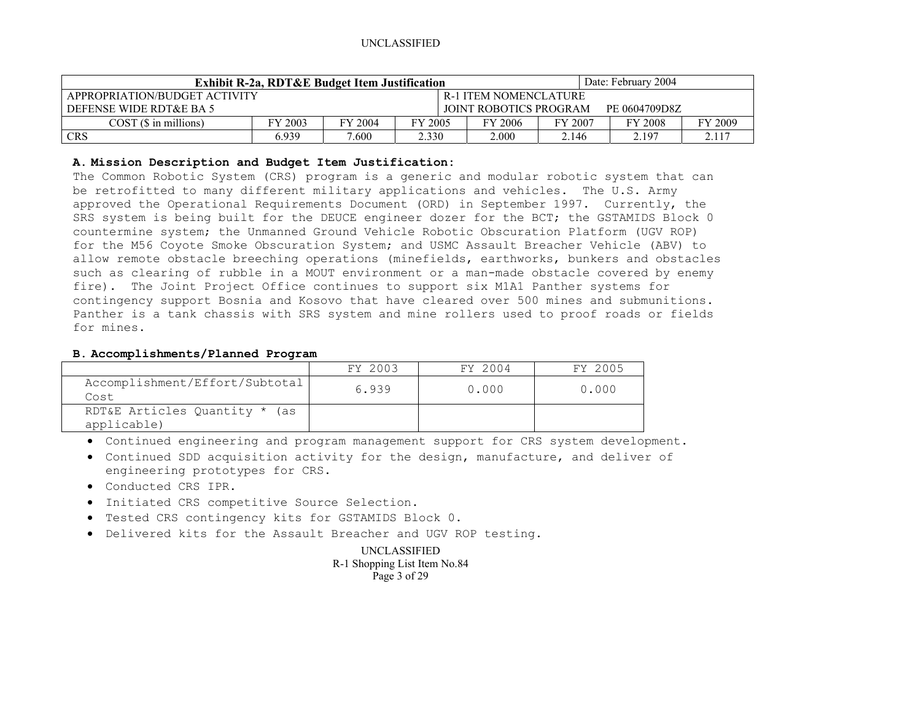| Date: February 2004<br><b>Exhibit R-2a, RDT&amp;E Budget Item Justification</b> |         |         |         |                        |         |                |         |  |  |  |
|---------------------------------------------------------------------------------|---------|---------|---------|------------------------|---------|----------------|---------|--|--|--|
| APPROPRIATION/BUDGET ACTIVITY                                                   |         |         |         | R-1 ITEM NOMENCLATURE  |         |                |         |  |  |  |
| DEFENSE WIDE RDT&E BA 5                                                         |         |         |         | JOINT ROBOTICS PROGRAM |         | PE 0604709D8Z  |         |  |  |  |
| COST(S in millions)                                                             | FY 2003 | FY 2004 | FY 2005 | FY 2006                | FY 2007 | <b>FY 2008</b> | FY 2009 |  |  |  |
| CRS                                                                             | 5.939   | 7.600   | 2.330   | 2.000                  | 2.146   | 2.197          | 2.117   |  |  |  |

#### **A. Mission Description and Budget Item Justification:**

The Common Robotic System (CRS) program is a generic and modular robotic system that can be retrofitted to many different military applications and vehicles. The U.S. Army approved the Operational Requirements Document (ORD) in September 1997. Currently, the SRS system is being built for the DEUCE engineer dozer for the BCT; the GSTAMIDS Block 0 countermine system; the Unmanned Ground Vehicle Robotic Obscuration Platform (UGV ROP) for the M56 Coyote Smoke Obscuration System; and USMC Assault Breacher Vehicle (ABV) to allow remote obstacle breeching operations (minefields, earthworks, bunkers and obstacles such as clearing of rubble in a MOUT environment or a man-made obstacle covered by enemy fire). The Joint Project Office continues to support six M1A1 Panther systems for contingency support Bosnia and Kosovo that have cleared over 500 mines and submunitions. Panther is a tank chassis with SRS system and mine rollers used to proof roads or fields for mines.

#### **B. Accomplishments/Planned Program**

|                                              | FY 2003 | FY 2004 | FY 2005 |
|----------------------------------------------|---------|---------|---------|
| Accomplishment/Effort/Subtotal<br>Cost       | 6.939   | 0.000   | 0.000   |
| RDT&E Articles Quantity * (as<br>applicable) |         |         |         |

• Continued engineering and program management support for CRS system development.

• Continued SDD acquisition activity for the design, manufacture, and deliver of engineering prototypes for CRS.

- Conducted CRS IPR.
- Initiated CRS competitive Source Selection.
- Tested CRS contingency kits for GSTAMIDS Block 0.
- Delivered kits for the Assault Breacher and UGV ROP testing.

UNCLASSIFIED R-1 Shopping List Item No.84 Page 3 of 29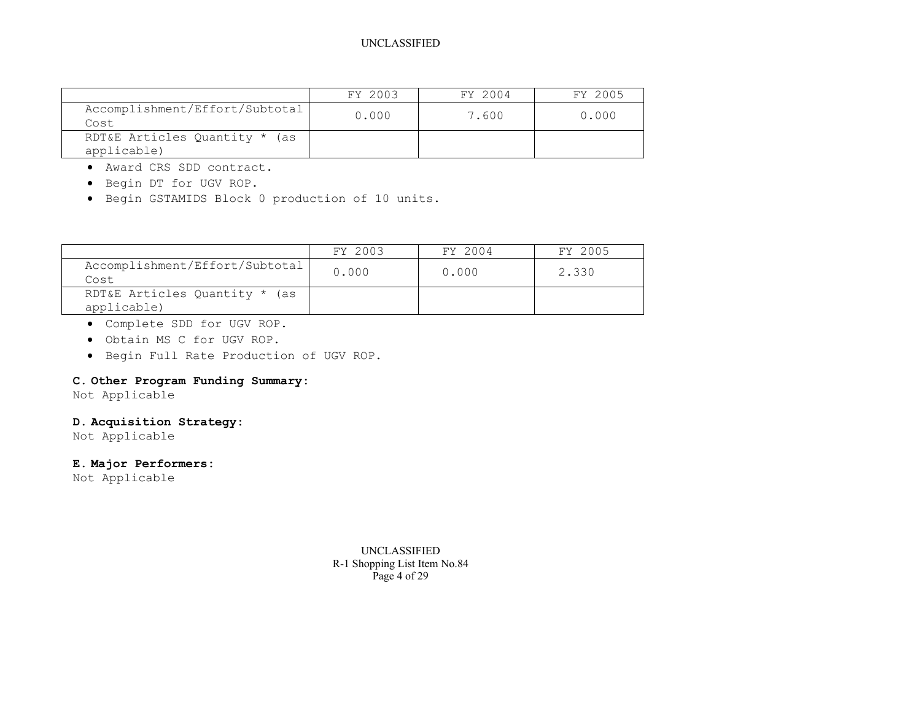|                                              | FY 2003 | FY 2004 | FY 2005 |
|----------------------------------------------|---------|---------|---------|
| Accomplishment/Effort/Subtotal<br>Cost       | 0.000   | 7.600   | 0.000   |
| RDT&E Articles Quantity * (as<br>applicable) |         |         |         |

• Award CRS SDD contract.

• Begin DT for UGV ROP.

• Begin GSTAMIDS Block 0 production of 10 units.

|                                              | FY 2003 | FY 2004 | FY 2005 |
|----------------------------------------------|---------|---------|---------|
| Accomplishment/Effort/Subtotal<br>Cost       | 0.000   | 0.000   | 2.330   |
| RDT&E Articles Quantity * (as<br>applicable) |         |         |         |

• Complete SDD for UGV ROP.

• Obtain MS C for UGV ROP.

• Begin Full Rate Production of UGV ROP.

# **C. Other Program Funding Summary:**

Not Applicable

# **D. Acquisition Strategy:**

Not Applicable

# **E. Major Performers:**

Not Applicable

UNCLASSIFIED R-1 Shopping List Item No.84 Page 4 of 29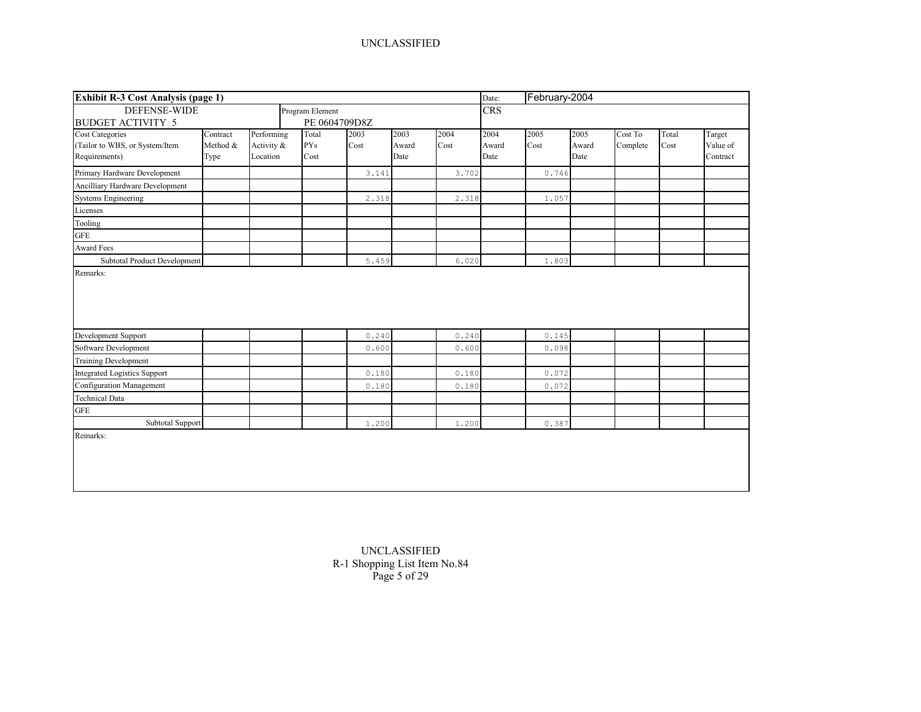| Exhibit R-3 Cost Analysis (page 1)                                        |                              |                                      |                      |                |                       |                | Date:                 | February-2004  |                       |                     |               |                                |
|---------------------------------------------------------------------------|------------------------------|--------------------------------------|----------------------|----------------|-----------------------|----------------|-----------------------|----------------|-----------------------|---------------------|---------------|--------------------------------|
| <b>DEFENSE-WIDE</b>                                                       |                              |                                      | Program Element      |                |                       |                | CRS                   |                |                       |                     |               |                                |
| <b>BUDGET ACTIVITY 5</b>                                                  |                              |                                      |                      | PE 0604709D8Z  |                       |                |                       |                |                       |                     |               |                                |
| <b>Cost Categories</b><br>(Tailor to WBS, or System/Item<br>Requirements) | Contract<br>Method &<br>Type | Performing<br>Activity &<br>Location | Total<br>PYs<br>Cost | 2003<br>Cost   | 2003<br>Award<br>Date | 2004<br>Cost   | 2004<br>Award<br>Date | 2005<br>Cost   | 2005<br>Award<br>Date | Cost To<br>Complete | Total<br>Cost | Target<br>Value of<br>Contract |
| Primary Hardware Development                                              |                              |                                      |                      | 3.141          |                       | 3.702          |                       | 0.746          |                       |                     |               |                                |
| Ancilliary Hardware Development                                           |                              |                                      |                      |                |                       |                |                       |                |                       |                     |               |                                |
| <b>Systems Engineering</b>                                                |                              |                                      |                      | 2.318          |                       | 2.318          |                       | 1.057          |                       |                     |               |                                |
| Licenses                                                                  |                              |                                      |                      |                |                       |                |                       |                |                       |                     |               |                                |
| Tooling                                                                   |                              |                                      |                      |                |                       |                |                       |                |                       |                     |               |                                |
| <b>GFE</b>                                                                |                              |                                      |                      |                |                       |                |                       |                |                       |                     |               |                                |
| <b>Award Fees</b>                                                         |                              |                                      |                      |                |                       |                |                       |                |                       |                     |               |                                |
| <b>Subtotal Product Development</b>                                       |                              |                                      |                      | 5.459          |                       | 6.020          |                       | 1.803          |                       |                     |               |                                |
|                                                                           |                              |                                      |                      |                |                       |                |                       |                |                       |                     |               |                                |
| Development Support                                                       |                              |                                      |                      | 0.240          |                       | 0.240          |                       | 0.145          |                       |                     |               |                                |
| Software Development                                                      |                              |                                      |                      | 0.600          |                       | 0.600          |                       | 0.098          |                       |                     |               |                                |
| <b>Training Development</b><br><b>Integrated Logistics Support</b>        |                              |                                      |                      |                |                       |                |                       |                |                       |                     |               |                                |
| Configuration Management                                                  |                              |                                      |                      | 0.180<br>0.180 |                       | 0.180<br>0.180 |                       | 0.072<br>0.072 |                       |                     |               |                                |
| <b>Technical Data</b>                                                     |                              |                                      |                      |                |                       |                |                       |                |                       |                     |               |                                |
| <b>GFE</b>                                                                |                              |                                      |                      |                |                       |                |                       |                |                       |                     |               |                                |
| Subtotal Support                                                          |                              |                                      |                      | 1,200          |                       | 1.200          |                       | 0.387          |                       |                     |               |                                |
| Remarks:                                                                  |                              |                                      |                      |                |                       |                |                       |                |                       |                     |               |                                |

UNCLASSIFIED R-1 Shopping List Item No.84 Page 5 of 29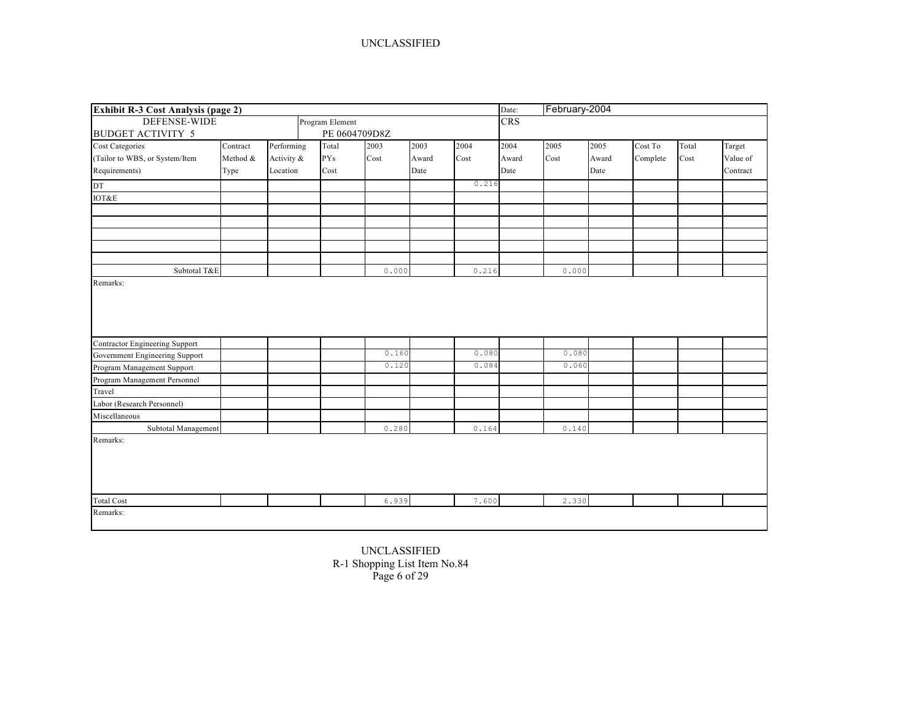| Exhibit R-3 Cost Analysis (page 2) |          |            |                 |       |       |       | Date:      | February-2004 |       |          |       |          |
|------------------------------------|----------|------------|-----------------|-------|-------|-------|------------|---------------|-------|----------|-------|----------|
| <b>DEFENSE-WIDE</b>                |          |            | Program Element |       |       |       | <b>CRS</b> |               |       |          |       |          |
| <b>BUDGET ACTIVITY 5</b>           |          |            | PE 0604709D8Z   |       |       |       |            |               |       |          |       |          |
| <b>Cost Categories</b>             | Contract | Performing | Total           | 2003  | 2003  | 2004  | 2004       | 2005          | 2005  | Cost To  | Total | Target   |
| (Tailor to WBS, or System/Item     | Method & | Activity & | PY <sub>s</sub> | Cost  | Award | Cost  | Award      | Cost          | Award | Complete | Cost  | Value of |
| Requirements)                      | Type     | Location   | Cost            |       | Date  |       | Date       |               | Date  |          |       | Contract |
| DT                                 |          |            |                 |       |       | 0.216 |            |               |       |          |       |          |
| <b>IOT&amp;E</b>                   |          |            |                 |       |       |       |            |               |       |          |       |          |
|                                    |          |            |                 |       |       |       |            |               |       |          |       |          |
|                                    |          |            |                 |       |       |       |            |               |       |          |       |          |
|                                    |          |            |                 |       |       |       |            |               |       |          |       |          |
|                                    |          |            |                 |       |       |       |            |               |       |          |       |          |
|                                    |          |            |                 |       |       |       |            |               |       |          |       |          |
| Subtotal T&E                       |          |            |                 | 0.000 |       | 0.216 |            | 0.000         |       |          |       |          |
|                                    |          |            |                 |       |       |       |            |               |       |          |       |          |
| Contractor Engineering Support     |          |            |                 |       |       |       |            |               |       |          |       |          |
| Government Engineering Support     |          |            |                 | 0.160 |       | 0.080 |            | 0.080         |       |          |       |          |
| Program Management Support         |          |            |                 | 0.120 |       | 0.084 |            | 0.060         |       |          |       |          |
| Program Management Personnel       |          |            |                 |       |       |       |            |               |       |          |       |          |
| Travel                             |          |            |                 |       |       |       |            |               |       |          |       |          |
| Labor (Research Personnel)         |          |            |                 |       |       |       |            |               |       |          |       |          |
| Miscellaneous                      |          |            |                 |       |       |       |            |               |       |          |       |          |
| Subtotal Management                |          |            |                 | 0.280 |       | 0.164 |            | 0.140         |       |          |       |          |
| Remarks:                           |          |            |                 |       |       |       |            |               |       |          |       |          |
| <b>Total Cost</b>                  |          |            |                 | 6.939 |       | 7.600 |            | 2.330         |       |          |       |          |
| Remarks:                           |          |            |                 |       |       |       |            |               |       |          |       |          |

UNCLASSIFIED R-1 Shopping List Item No.84 Page 6 of 29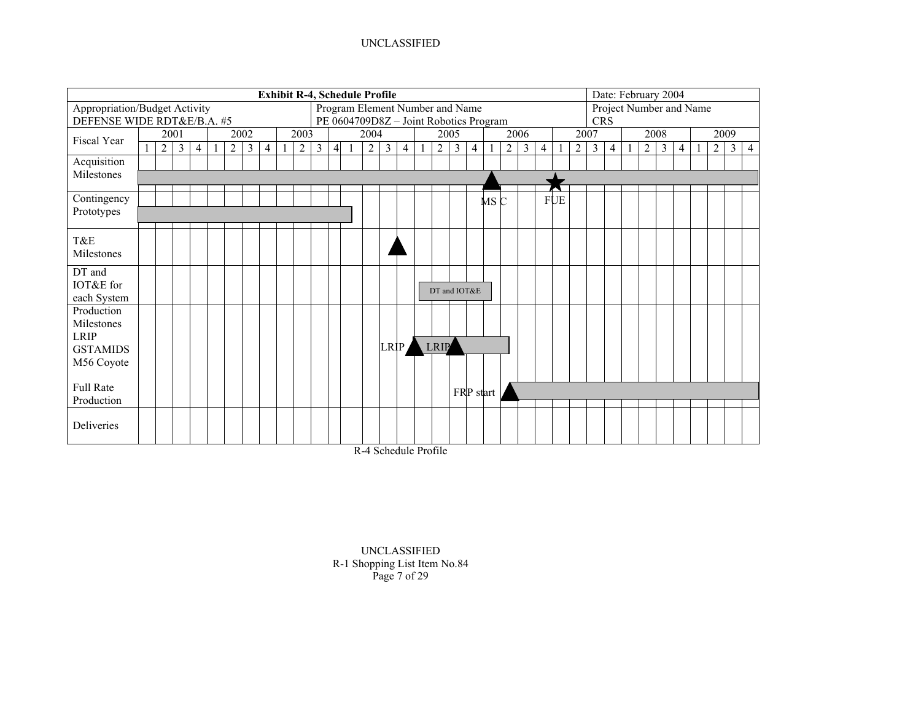|                               | <b>Exhibit R-4, Schedule Profile</b> |                |      |                |  |                |      |   |  |                |   | Date: February 2004 |                                        |                |                |             |                |                |                |                 |                |      |   |            |                |            |   |                         |                |      |   |   |                |                |
|-------------------------------|--------------------------------------|----------------|------|----------------|--|----------------|------|---|--|----------------|---|---------------------|----------------------------------------|----------------|----------------|-------------|----------------|----------------|----------------|-----------------|----------------|------|---|------------|----------------|------------|---|-------------------------|----------------|------|---|---|----------------|----------------|
| Appropriation/Budget Activity |                                      |                |      |                |  |                |      |   |  |                |   |                     | Program Element Number and Name        |                |                |             |                |                |                |                 |                |      |   |            |                |            |   | Project Number and Name |                |      |   |   |                |                |
| DEFENSE WIDE RDT&E/B.A. #5    |                                      |                | 2001 |                |  |                | 2002 |   |  | 2003           |   |                     | PE 0604709D8Z - Joint Robotics Program | 2004           |                |             |                | 2005           |                |                 |                | 2006 |   |            | 2007           | <b>CRS</b> |   |                         |                | 2008 |   |   | 2009           |                |
| Fiscal Year                   |                                      | $\overline{c}$ | 3    | $\overline{4}$ |  | $\overline{c}$ | 3    | 4 |  | $\overline{2}$ | 3 | $\overline{4}$      |                                        | $\overline{c}$ | $\overline{3}$ | 4           | $\overline{2}$ | $\overline{3}$ | $\overline{4}$ |                 | $\overline{2}$ | 3    | 4 | 1          | $\overline{c}$ | 3          | 4 |                         | $\overline{c}$ | 3    | 4 | 2 | $\overline{3}$ | $\overline{4}$ |
| Acquisition                   |                                      |                |      |                |  |                |      |   |  |                |   |                     |                                        |                |                |             |                |                |                |                 |                |      |   |            |                |            |   |                         |                |      |   |   |                |                |
| Milestones                    |                                      |                |      |                |  |                |      |   |  |                |   |                     |                                        |                |                |             |                |                |                |                 |                |      |   |            |                |            |   |                         |                |      |   |   |                |                |
|                               |                                      |                |      |                |  |                |      |   |  |                |   |                     |                                        |                |                |             |                |                |                |                 |                |      |   |            |                |            |   |                         |                |      |   |   |                |                |
| Contingency<br>Prototypes     |                                      |                |      |                |  |                |      |   |  |                |   |                     |                                        |                |                |             |                |                |                | MS <sub>C</sub> |                |      |   | <b>FUE</b> |                |            |   |                         |                |      |   |   |                |                |
|                               |                                      |                |      |                |  |                |      |   |  |                |   |                     |                                        |                |                |             |                |                |                |                 |                |      |   |            |                |            |   |                         |                |      |   |   |                |                |
| T&E                           |                                      |                |      |                |  |                |      |   |  |                |   |                     |                                        |                |                |             |                |                |                |                 |                |      |   |            |                |            |   |                         |                |      |   |   |                |                |
| Milestones                    |                                      |                |      |                |  |                |      |   |  |                |   |                     |                                        |                |                |             |                |                |                |                 |                |      |   |            |                |            |   |                         |                |      |   |   |                |                |
| DT and                        |                                      |                |      |                |  |                |      |   |  |                |   |                     |                                        |                |                |             |                |                |                |                 |                |      |   |            |                |            |   |                         |                |      |   |   |                |                |
| IOT&E for<br>each System      |                                      |                |      |                |  |                |      |   |  |                |   |                     |                                        |                |                |             | DT and IOT&E   |                |                |                 |                |      |   |            |                |            |   |                         |                |      |   |   |                |                |
| Production                    |                                      |                |      |                |  |                |      |   |  |                |   |                     |                                        |                |                |             |                |                |                |                 |                |      |   |            |                |            |   |                         |                |      |   |   |                |                |
| Milestones                    |                                      |                |      |                |  |                |      |   |  |                |   |                     |                                        |                |                |             |                |                |                |                 |                |      |   |            |                |            |   |                         |                |      |   |   |                |                |
| <b>LRIP</b>                   |                                      |                |      |                |  |                |      |   |  |                |   |                     |                                        |                |                | <b>LRIP</b> | LRIP           |                |                |                 |                |      |   |            |                |            |   |                         |                |      |   |   |                |                |
| <b>GSTAMIDS</b><br>M56 Coyote |                                      |                |      |                |  |                |      |   |  |                |   |                     |                                        |                |                |             |                |                |                |                 |                |      |   |            |                |            |   |                         |                |      |   |   |                |                |
|                               |                                      |                |      |                |  |                |      |   |  |                |   |                     |                                        |                |                |             |                |                |                |                 |                |      |   |            |                |            |   |                         |                |      |   |   |                |                |
| Full Rate                     |                                      |                |      |                |  |                |      |   |  |                |   |                     |                                        |                |                |             |                |                | FRP start      |                 |                |      |   |            |                |            |   |                         |                |      |   |   |                |                |
| Production                    |                                      |                |      |                |  |                |      |   |  |                |   |                     |                                        |                |                |             |                |                |                |                 |                |      |   |            |                |            |   |                         |                |      |   |   |                |                |
| Deliveries                    |                                      |                |      |                |  |                |      |   |  |                |   |                     |                                        |                |                |             |                |                |                |                 |                |      |   |            |                |            |   |                         |                |      |   |   |                |                |
|                               |                                      |                |      |                |  |                |      |   |  |                |   |                     |                                        |                |                |             |                |                |                |                 |                |      |   |            |                |            |   |                         |                |      |   |   |                |                |

R-4 Schedule Profile

UNCLASSIFIED R-1 Shopping List Item No.84 Page 7 of 29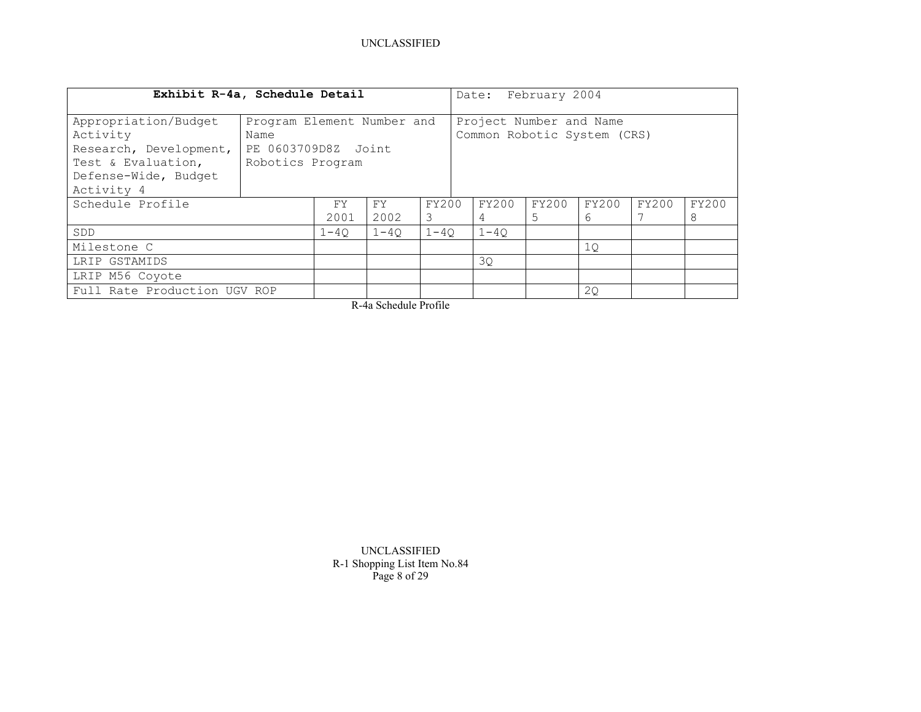| Exhibit R-4a, Schedule Detail                                                                                          |                                                                               |          |          |          |  | Date:                   | February 2004 |                             |       |       |
|------------------------------------------------------------------------------------------------------------------------|-------------------------------------------------------------------------------|----------|----------|----------|--|-------------------------|---------------|-----------------------------|-------|-------|
| Appropriation/Budget<br>Activity<br>Research, Development,<br>Test & Evaluation,<br>Defense-Wide, Budget<br>Activity 4 | Program Element Number and<br>Name<br>PE 0603709D8Z Joint<br>Robotics Program |          |          |          |  | Project Number and Name |               | Common Robotic System (CRS) |       |       |
| Schedule Profile                                                                                                       |                                                                               | FY       | FY       | FY200    |  | FY200                   | FY200         | FY200                       | FY200 | FY200 |
|                                                                                                                        |                                                                               | 2001     | 2002     | 3        |  | 4                       | 5             | 6                           |       | 8     |
| <b>SDD</b>                                                                                                             |                                                                               | $1 - 40$ | $1 - 4Q$ | $1 - 4Q$ |  | $1 - 4Q$                |               |                             |       |       |
| Milestone C                                                                                                            |                                                                               |          |          |          |  |                         |               | 10                          |       |       |
| LRIP GSTAMIDS                                                                                                          |                                                                               |          |          |          |  | 3Q                      |               |                             |       |       |
| LRIP M56 Coyote                                                                                                        |                                                                               |          |          |          |  |                         |               |                             |       |       |
| Full Rate Production UGV ROP                                                                                           |                                                                               |          |          |          |  |                         |               | 2Q                          |       |       |

R-4a Schedule Profile

UNCLASSIFIED R-1 Shopping List Item No.84 Page 8 of 29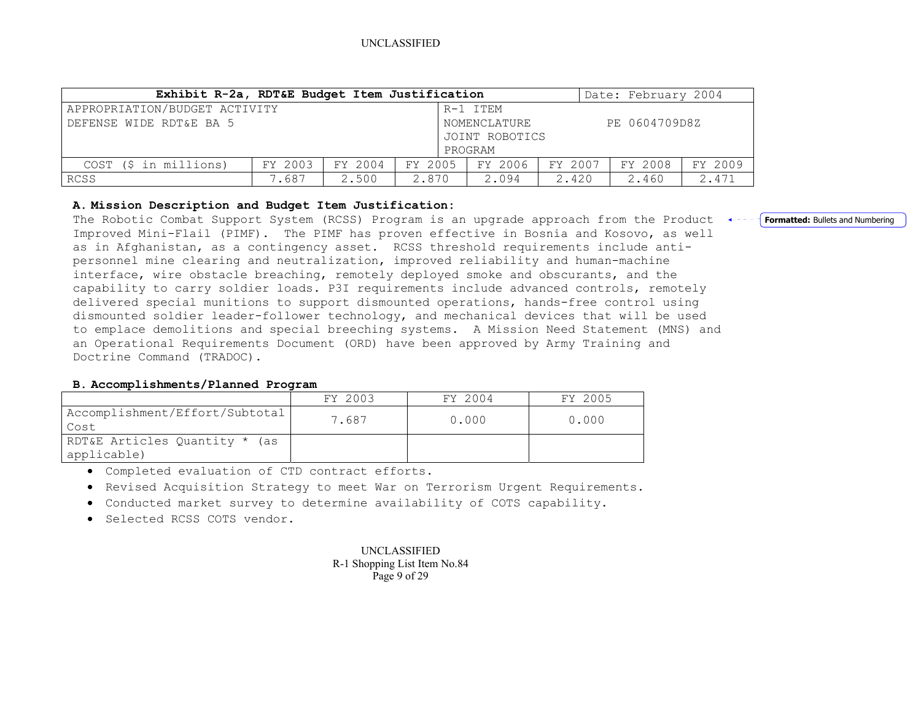| Exhibit R-2a, RDT&E Budget Item Justification |         |         |         |                |         | Date: February 2004 |         |
|-----------------------------------------------|---------|---------|---------|----------------|---------|---------------------|---------|
| APPROPRIATION/BUDGET ACTIVITY                 |         |         |         |                |         |                     |         |
| DEFENSE WIDE RDT&E BA 5                       |         |         |         | NOMENCLATURE   |         | PE 0604709D8Z       |         |
|                                               |         |         |         | JOINT ROBOTICS |         |                     |         |
|                                               |         |         |         | PROGRAM        |         |                     |         |
| in millions)<br>COST<br>(\$                   | FY 2003 | FY 2004 | FY 2005 | FY 2006        | FY 2007 | FY 2008             | FY 2009 |
| <b>RCSS</b>                                   | 7.687   | 2.500   | 2.870   | 2.094          | 2.420   | 2.460               | 2.471   |

#### **A. Mission Description and Budget Item Justification:**

The Robotic Combat Support System (RCSS) Program is an upgrade approach from the Product **Formatted:** Bullets and NumberingImproved Mini-Flail (PIMF). The PIMF has proven effective in Bosnia and Kosovo, as well as in Afghanistan, as a contingency asset. RCSS threshold requirements include antipersonnel mine clearing and neutralization, improved reliability and human-machine interface, wire obstacle breaching, remotely deployed smoke and obscurants, and the capability to carry soldier loads. P3I requirements include advanced controls, remotely delivered special munitions to support dismounted operations, hands-free control using dismounted soldier leader-follower technology, and mechanical devices that will be used to emplace demolitions and special breeching systems. A Mission Need Statement (MNS) and an Operational Requirements Document (ORD) have been approved by Army Training and Doctrine Command (TRADOC).

#### **B. Accomplishments/Planned Program**

|                                        | FY 2003 | FY 2004 | FY 2005 |
|----------------------------------------|---------|---------|---------|
| Accomplishment/Effort/Subtotal<br>Cost | 7.687   | 0.000   | 0.000   |
| RDT&E Articles Quantity * (as          |         |         |         |
| applicable)                            |         |         |         |

- Completed evaluation of CTD contract efforts.
- Revised Acquisition Strategy to meet War on Terrorism Urgent Requirements.
- Conducted market survey to determine availability of COTS capability.
- Selected RCSS COTS vendor.

UNCLASSIFIED R-1 Shopping List Item No.84 Page 9 of 29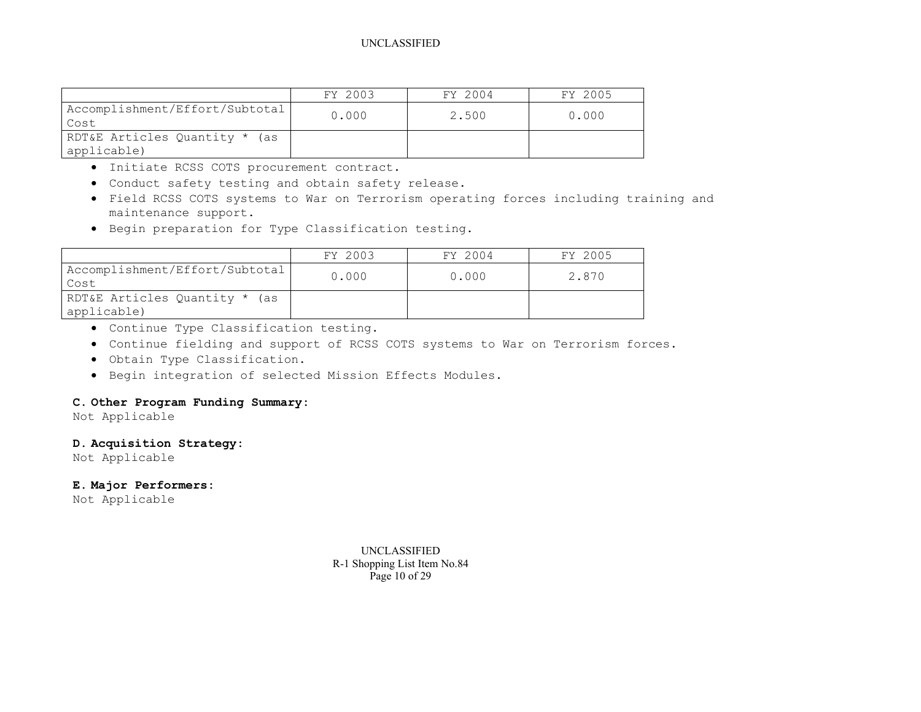|                                              | FY 2003 | FY 2004 | FY 2005 |
|----------------------------------------------|---------|---------|---------|
| Accomplishment/Effort/Subtotal<br>Cost       | 0.000   | 2.500   | 0.000   |
| RDT&E Articles Quantity * (as<br>applicable) |         |         |         |

- Initiate RCSS COTS procurement contract.
- Conduct safety testing and obtain safety release.
- Field RCSS COTS systems to War on Terrorism operating forces including training and maintenance support.
- Begin preparation for Type Classification testing.

|                                              | FY 2003 | FY 2004 | FY 2005 |
|----------------------------------------------|---------|---------|---------|
| Accomplishment/Effort/Subtotal<br>Cost       | 0.000   | 0.000   | 2.870   |
| RDT&E Articles Quantity * (as<br>applicable) |         |         |         |

- Continue Type Classification testing.
- Continue fielding and support of RCSS COTS systems to War on Terrorism forces.
- Obtain Type Classification.
- Begin integration of selected Mission Effects Modules.

# **C. Other Program Funding Summary:**

Not Applicable

### **D. Acquisition Strategy:**

Not Applicable

### **E. Major Performers:**

Not Applicable

UNCLASSIFIED R-1 Shopping List Item No.84 Page 10 of 29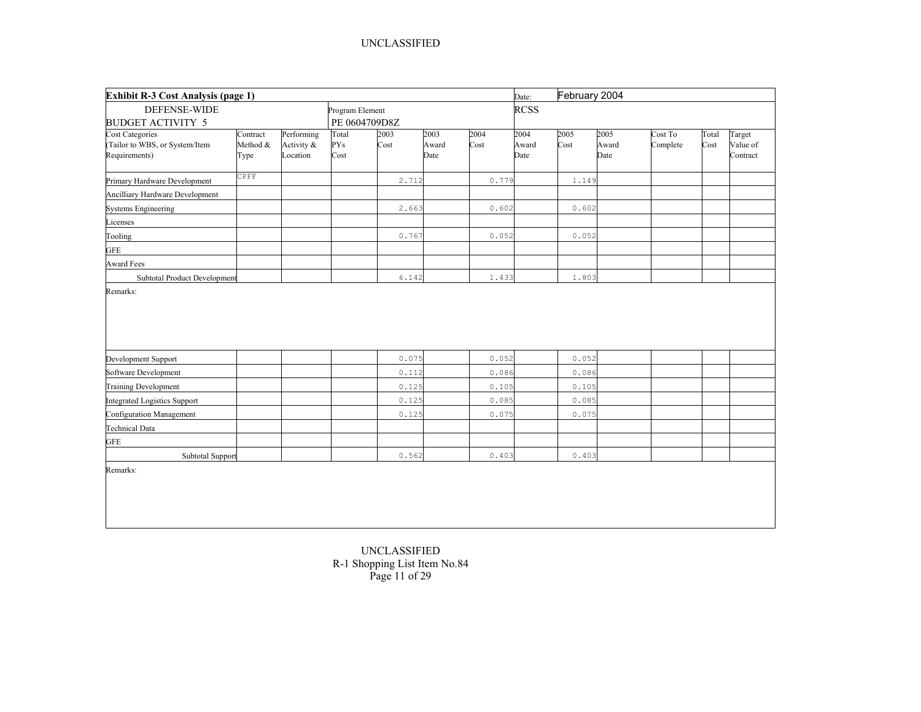| Exhibit R-3 Cost Analysis (page 1)                                        |                              |                                      |                      |                |                       |                | Date:                 | February 2004  |                       |                     |               |                                |
|---------------------------------------------------------------------------|------------------------------|--------------------------------------|----------------------|----------------|-----------------------|----------------|-----------------------|----------------|-----------------------|---------------------|---------------|--------------------------------|
| DEFENSE-WIDE                                                              |                              |                                      | Program Element      |                |                       |                | <b>RCSS</b>           |                |                       |                     |               |                                |
| <b>BUDGET ACTIVITY 5</b>                                                  |                              |                                      | PE 0604709D8Z        |                |                       |                |                       |                |                       |                     |               |                                |
| <b>Cost Categories</b><br>(Tailor to WBS, or System/Item<br>Requirements) | Contract<br>Method &<br>Type | Performing<br>Activity &<br>Location | Total<br>PYS<br>Cost | 2003<br>Cost   | 2003<br>Award<br>Date | 2004<br>Cost   | 2004<br>Award<br>Date | 2005<br>Cost   | 2005<br>Award<br>Date | Cost To<br>Complete | Total<br>Cost | Target<br>Value of<br>Contract |
| Primary Hardware Development                                              | CPFF                         |                                      |                      | 2.712          |                       | 0.779          |                       | 1.149          |                       |                     |               |                                |
| Ancilliary Hardware Development                                           |                              |                                      |                      |                |                       |                |                       |                |                       |                     |               |                                |
| <b>Systems Engineering</b>                                                |                              |                                      |                      | 2.663          |                       | 0.602          |                       | 0.602          |                       |                     |               |                                |
| Licenses                                                                  |                              |                                      |                      |                |                       |                |                       |                |                       |                     |               |                                |
| Tooling                                                                   |                              |                                      |                      | 0.767          |                       | 0.052          |                       | 0.052          |                       |                     |               |                                |
| <b>GFE</b>                                                                |                              |                                      |                      |                |                       |                |                       |                |                       |                     |               |                                |
| <b>Award Fees</b>                                                         |                              |                                      |                      |                |                       |                |                       |                |                       |                     |               |                                |
| <b>Subtotal Product Development</b>                                       |                              |                                      |                      | 6.142          |                       | 1.433          |                       | 1.803          |                       |                     |               |                                |
|                                                                           |                              |                                      |                      |                |                       |                |                       |                |                       |                     |               |                                |
| Development Support                                                       |                              |                                      |                      | 0.075          |                       | 0.052          |                       | 0.052          |                       |                     |               |                                |
| Software Development                                                      |                              |                                      |                      | 0.112          |                       | 0.086          |                       | 0.086          |                       |                     |               |                                |
| <b>Training Development</b>                                               |                              |                                      |                      | 0.125          |                       | 0.105          |                       | 0.105          |                       |                     |               |                                |
| <b>Integrated Logistics Support</b><br><b>Configuration Management</b>    |                              |                                      |                      | 0.125<br>0.125 |                       | 0.085<br>0.075 |                       | 0.085<br>0.075 |                       |                     |               |                                |
| <b>Technical Data</b>                                                     |                              |                                      |                      |                |                       |                |                       |                |                       |                     |               |                                |
| <b>GFE</b>                                                                |                              |                                      |                      |                |                       |                |                       |                |                       |                     |               |                                |
| Subtotal Support                                                          |                              |                                      |                      | 0.562          |                       | 0.403          |                       | 0.403          |                       |                     |               |                                |
| Remarks:                                                                  |                              |                                      |                      |                |                       |                |                       |                |                       |                     |               |                                |

UNCLASSIFIED R-1 Shopping List Item No.84 Page 11 of 29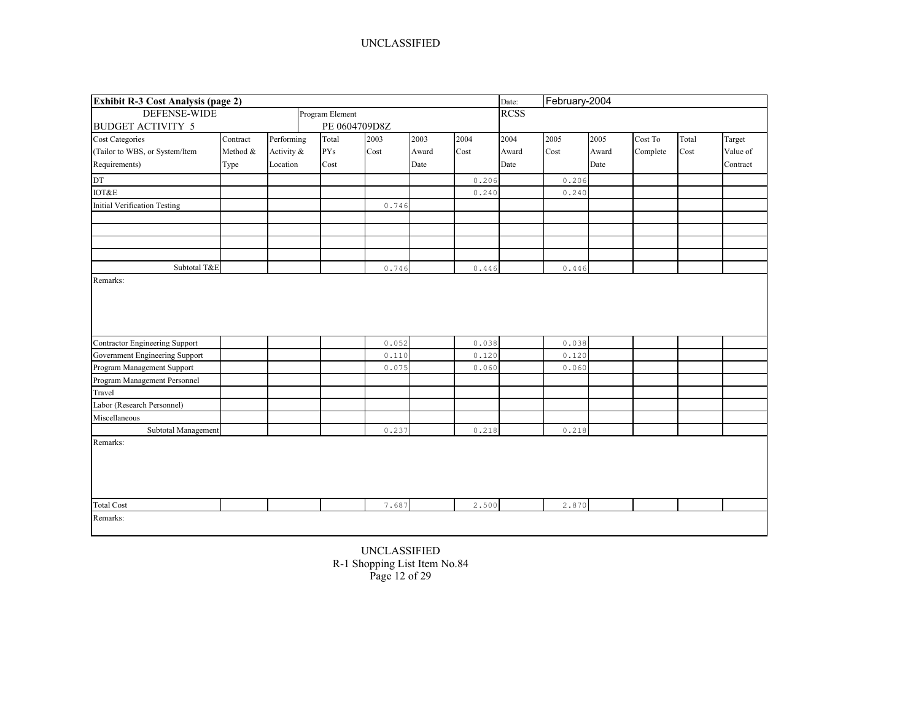| Exhibit R-3 Cost Analysis (page 2)  |          |            |                 |       |       |       | Date:       | February-2004 |       |          |       |          |
|-------------------------------------|----------|------------|-----------------|-------|-------|-------|-------------|---------------|-------|----------|-------|----------|
| <b>DEFENSE-WIDE</b>                 |          |            | Program Element |       |       |       | <b>RCSS</b> |               |       |          |       |          |
| <b>BUDGET ACTIVITY 5</b>            |          |            | PE 0604709D8Z   |       |       |       |             |               |       |          |       |          |
| <b>Cost Categories</b>              | Contract | Performing | Total           | 2003  | 2003  | 2004  | 2004        | 2005          | 2005  | Cost To  | Total | Target   |
| (Tailor to WBS, or System/Item      | Method & | Activity & | <b>PYs</b>      | Cost  | Award | Cost  | Award       | Cost          | Award | Complete | Cost  | Value of |
| Requirements)                       | Type     | Location   | Cost            |       | Date  |       | Date        |               | Date  |          |       | Contract |
| DT                                  |          |            |                 |       |       | 0.206 |             | 0.206         |       |          |       |          |
| <b>IOT&amp;E</b>                    |          |            |                 |       |       | 0.240 |             | 0.240         |       |          |       |          |
| <b>Initial Verification Testing</b> |          |            |                 | 0.746 |       |       |             |               |       |          |       |          |
|                                     |          |            |                 |       |       |       |             |               |       |          |       |          |
|                                     |          |            |                 |       |       |       |             |               |       |          |       |          |
|                                     |          |            |                 |       |       |       |             |               |       |          |       |          |
|                                     |          |            |                 |       |       |       |             |               |       |          |       |          |
| Subtotal T&E                        |          |            |                 | 0.746 |       | 0.446 |             | 0.446         |       |          |       |          |
|                                     |          |            |                 |       |       |       |             |               |       |          |       |          |
| Contractor Engineering Support      |          |            |                 | 0.052 |       | 0.038 |             | 0.038         |       |          |       |          |
| Government Engineering Support      |          |            |                 | 0.110 |       | 0.120 |             | 0.120         |       |          |       |          |
| Program Management Support          |          |            |                 | 0.075 |       | 0.060 |             | 0.060         |       |          |       |          |
| Program Management Personnel        |          |            |                 |       |       |       |             |               |       |          |       |          |
| Travel                              |          |            |                 |       |       |       |             |               |       |          |       |          |
| Labor (Research Personnel)          |          |            |                 |       |       |       |             |               |       |          |       |          |
| Miscellaneous                       |          |            |                 |       |       |       |             |               |       |          |       |          |
| Subtotal Management                 |          |            |                 | 0.237 |       | 0.218 |             | 0.218         |       |          |       |          |
| Remarks:                            |          |            |                 |       |       |       |             |               |       |          |       |          |
| <b>Total Cost</b>                   |          |            |                 | 7.687 |       | 2.500 |             | 2.870         |       |          |       |          |
| Remarks:                            |          |            |                 |       |       |       |             |               |       |          |       |          |

UNCLASSIFIED R-1 Shopping List Item No.84 Page 12 of 29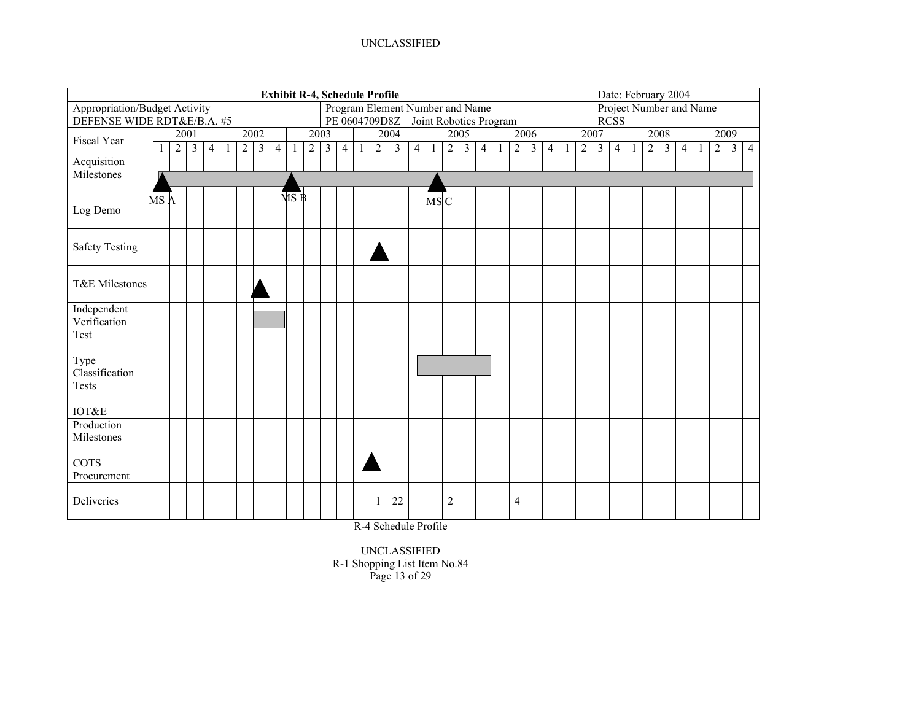|                               |              |                |                         |                |    |                |                         |                |                 |                |                         | <b>Exhibit R-4, Schedule Profile</b> |   |            |                                        |                |                 |                |                         |                |              |                |                |                |            |                |                |              |                |                | Date: February 2004     |                |                |                |
|-------------------------------|--------------|----------------|-------------------------|----------------|----|----------------|-------------------------|----------------|-----------------|----------------|-------------------------|--------------------------------------|---|------------|----------------------------------------|----------------|-----------------|----------------|-------------------------|----------------|--------------|----------------|----------------|----------------|------------|----------------|----------------|--------------|----------------|----------------|-------------------------|----------------|----------------|----------------|
| Appropriation/Budget Activity |              |                |                         |                |    |                |                         |                |                 |                |                         |                                      |   |            | Program Element Number and Name        |                |                 |                |                         |                |              |                |                |                |            |                |                |              |                |                | Project Number and Name |                |                |                |
| DEFENSE WIDE RDT&E/B.A. #5    |              |                |                         |                |    |                |                         |                |                 |                |                         |                                      |   |            | PE 0604709D8Z - Joint Robotics Program |                |                 |                |                         |                |              |                |                |                |            |                | <b>RCSS</b>    |              |                |                |                         |                |                |                |
| Fiscal Year                   |              |                | 2001                    |                |    |                | 2002                    |                |                 |                | 2003                    |                                      |   |            | 2004                                   |                |                 |                | 2005                    |                |              |                | 2006           |                |            | 2007           |                |              |                | 2008           |                         |                | 2009           |                |
|                               | $\mathbf{1}$ | $\overline{2}$ | $\overline{\mathbf{3}}$ | $\overline{4}$ | -1 | $\overline{2}$ | $\overline{\mathbf{3}}$ | $\overline{4}$ |                 | $\overline{2}$ | $\overline{\mathbf{3}}$ | $\overline{4}$                       | 1 | $\sqrt{2}$ | 3                                      | $\overline{4}$ |                 | $\sqrt{2}$     | $\overline{\mathbf{3}}$ | $\overline{4}$ | $\mathbf{1}$ | $\overline{2}$ | $\overline{3}$ | $\overline{4}$ | $\sqrt{2}$ | $\mathfrak{Z}$ | $\overline{4}$ | $\mathbf{1}$ | $\overline{2}$ | $\mathfrak{Z}$ | $\overline{4}$          | $\overline{2}$ | $\overline{3}$ | $\overline{4}$ |
| Acquisition                   |              |                |                         |                |    |                |                         |                |                 |                |                         |                                      |   |            |                                        |                |                 |                |                         |                |              |                |                |                |            |                |                |              |                |                |                         |                |                |                |
| Milestones                    |              |                |                         |                |    |                |                         |                |                 |                |                         |                                      |   |            |                                        |                |                 |                |                         |                |              |                |                |                |            |                |                |              |                |                |                         |                |                |                |
|                               |              |                |                         |                |    |                |                         |                | MS <sub>B</sub> |                |                         |                                      |   |            |                                        |                |                 |                |                         |                |              |                |                |                |            |                |                |              |                |                |                         |                |                |                |
| Log Demo                      | MS A         |                |                         |                |    |                |                         |                |                 |                |                         |                                      |   |            |                                        |                | MS <sub>C</sub> |                |                         |                |              |                |                |                |            |                |                |              |                |                |                         |                |                |                |
|                               |              |                |                         |                |    |                |                         |                |                 |                |                         |                                      |   |            |                                        |                |                 |                |                         |                |              |                |                |                |            |                |                |              |                |                |                         |                |                |                |
|                               |              |                |                         |                |    |                |                         |                |                 |                |                         |                                      |   |            |                                        |                |                 |                |                         |                |              |                |                |                |            |                |                |              |                |                |                         |                |                |                |
| <b>Safety Testing</b>         |              |                |                         |                |    |                |                         |                |                 |                |                         |                                      |   |            |                                        |                |                 |                |                         |                |              |                |                |                |            |                |                |              |                |                |                         |                |                |                |
|                               |              |                |                         |                |    |                |                         |                |                 |                |                         |                                      |   |            |                                        |                |                 |                |                         |                |              |                |                |                |            |                |                |              |                |                |                         |                |                |                |
| T&E Milestones                |              |                |                         |                |    |                |                         |                |                 |                |                         |                                      |   |            |                                        |                |                 |                |                         |                |              |                |                |                |            |                |                |              |                |                |                         |                |                |                |
| Independent                   |              |                |                         |                |    |                |                         |                |                 |                |                         |                                      |   |            |                                        |                |                 |                |                         |                |              |                |                |                |            |                |                |              |                |                |                         |                |                |                |
| Verification                  |              |                |                         |                |    |                |                         |                |                 |                |                         |                                      |   |            |                                        |                |                 |                |                         |                |              |                |                |                |            |                |                |              |                |                |                         |                |                |                |
| Test                          |              |                |                         |                |    |                |                         |                |                 |                |                         |                                      |   |            |                                        |                |                 |                |                         |                |              |                |                |                |            |                |                |              |                |                |                         |                |                |                |
|                               |              |                |                         |                |    |                |                         |                |                 |                |                         |                                      |   |            |                                        |                |                 |                |                         |                |              |                |                |                |            |                |                |              |                |                |                         |                |                |                |
| Type                          |              |                |                         |                |    |                |                         |                |                 |                |                         |                                      |   |            |                                        |                |                 |                |                         |                |              |                |                |                |            |                |                |              |                |                |                         |                |                |                |
| Classification<br>Tests       |              |                |                         |                |    |                |                         |                |                 |                |                         |                                      |   |            |                                        |                |                 |                |                         |                |              |                |                |                |            |                |                |              |                |                |                         |                |                |                |
|                               |              |                |                         |                |    |                |                         |                |                 |                |                         |                                      |   |            |                                        |                |                 |                |                         |                |              |                |                |                |            |                |                |              |                |                |                         |                |                |                |
| IOT&E                         |              |                |                         |                |    |                |                         |                |                 |                |                         |                                      |   |            |                                        |                |                 |                |                         |                |              |                |                |                |            |                |                |              |                |                |                         |                |                |                |
| Production                    |              |                |                         |                |    |                |                         |                |                 |                |                         |                                      |   |            |                                        |                |                 |                |                         |                |              |                |                |                |            |                |                |              |                |                |                         |                |                |                |
| Milestones                    |              |                |                         |                |    |                |                         |                |                 |                |                         |                                      |   |            |                                        |                |                 |                |                         |                |              |                |                |                |            |                |                |              |                |                |                         |                |                |                |
| <b>COTS</b>                   |              |                |                         |                |    |                |                         |                |                 |                |                         |                                      |   |            |                                        |                |                 |                |                         |                |              |                |                |                |            |                |                |              |                |                |                         |                |                |                |
| Procurement                   |              |                |                         |                |    |                |                         |                |                 |                |                         |                                      |   |            |                                        |                |                 |                |                         |                |              |                |                |                |            |                |                |              |                |                |                         |                |                |                |
|                               |              |                |                         |                |    |                |                         |                |                 |                |                         |                                      |   |            |                                        |                |                 |                |                         |                |              |                |                |                |            |                |                |              |                |                |                         |                |                |                |
| Deliveries                    |              |                |                         |                |    |                |                         |                |                 |                |                         |                                      |   |            | 22                                     |                |                 | $\overline{2}$ |                         |                |              | $\overline{4}$ |                |                |            |                |                |              |                |                |                         |                |                |                |
|                               |              |                |                         |                |    |                |                         |                |                 |                |                         |                                      |   |            |                                        |                |                 |                |                         |                |              |                |                |                |            |                |                |              |                |                |                         |                |                |                |

R-4 Schedule Profile

UNCLASSIFIED R-1 Shopping List Item No.84 Page 13 of 29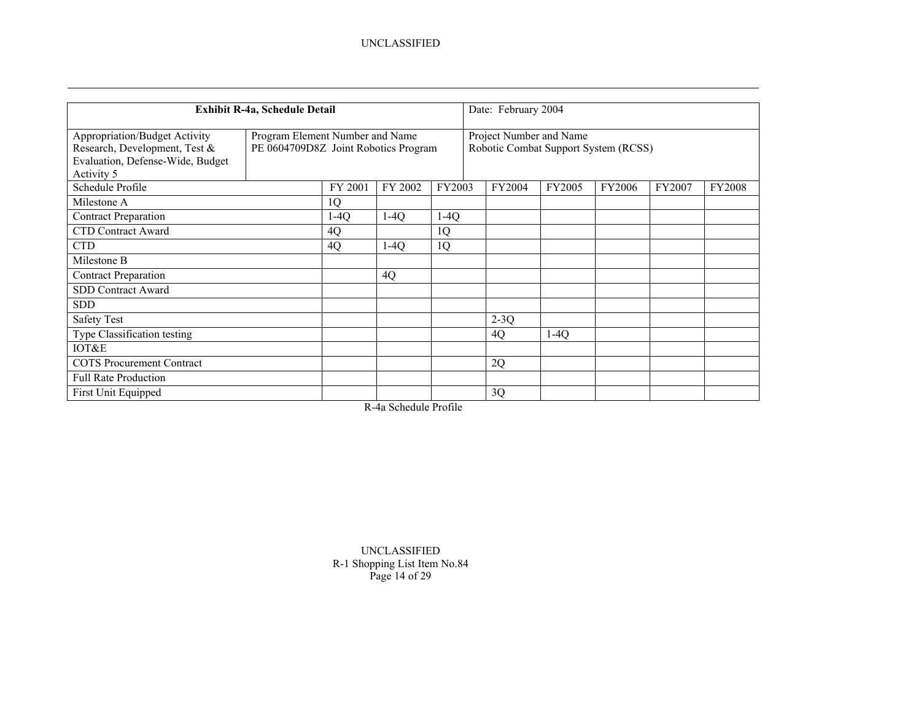|                                  |                                                                                                          |         |         |        | Date: February 2004                  |                         |        |               |        |               |  |  |
|----------------------------------|----------------------------------------------------------------------------------------------------------|---------|---------|--------|--------------------------------------|-------------------------|--------|---------------|--------|---------------|--|--|
|                                  | <b>Exhibit R-4a, Schedule Detail</b><br>Appropriation/Budget Activity<br>Program Element Number and Name |         |         |        |                                      |                         |        |               |        |               |  |  |
|                                  |                                                                                                          |         |         |        |                                      |                         |        |               |        |               |  |  |
|                                  |                                                                                                          |         |         |        |                                      | Project Number and Name |        |               |        |               |  |  |
| Research, Development, Test &    | PE 0604709D8Z Joint Robotics Program                                                                     |         |         |        | Robotic Combat Support System (RCSS) |                         |        |               |        |               |  |  |
| Evaluation, Defense-Wide, Budget |                                                                                                          |         |         |        |                                      |                         |        |               |        |               |  |  |
| Activity 5                       |                                                                                                          |         |         |        |                                      |                         |        |               |        |               |  |  |
| Schedule Profile                 |                                                                                                          | FY 2001 | FY 2002 | FY2003 |                                      | FY2004                  | FY2005 | <b>FY2006</b> | FY2007 | <b>FY2008</b> |  |  |
| Milestone A                      |                                                                                                          | 1Q      |         |        |                                      |                         |        |               |        |               |  |  |
| <b>Contract Preparation</b>      |                                                                                                          | $1-4Q$  | $1-4Q$  | $1-4Q$ |                                      |                         |        |               |        |               |  |  |
| <b>CTD Contract Award</b>        |                                                                                                          | 4Q      |         | 1Q     |                                      |                         |        |               |        |               |  |  |
| <b>CTD</b>                       |                                                                                                          | 4Q      | $1-4Q$  | 1Q     |                                      |                         |        |               |        |               |  |  |
| Milestone B                      |                                                                                                          |         |         |        |                                      |                         |        |               |        |               |  |  |
| <b>Contract Preparation</b>      |                                                                                                          |         | 4Q      |        |                                      |                         |        |               |        |               |  |  |
| SDD Contract Award               |                                                                                                          |         |         |        |                                      |                         |        |               |        |               |  |  |
| <b>SDD</b>                       |                                                                                                          |         |         |        |                                      |                         |        |               |        |               |  |  |
| Safety Test                      |                                                                                                          |         |         |        |                                      | $2-3Q$                  |        |               |        |               |  |  |
| Type Classification testing      |                                                                                                          |         |         |        |                                      | 4Q                      | $1-4Q$ |               |        |               |  |  |
| IOT&E                            |                                                                                                          |         |         |        |                                      |                         |        |               |        |               |  |  |
| <b>COTS</b> Procurement Contract |                                                                                                          |         |         |        |                                      | 2Q                      |        |               |        |               |  |  |
| <b>Full Rate Production</b>      |                                                                                                          |         |         |        |                                      |                         |        |               |        |               |  |  |
| First Unit Equipped              |                                                                                                          |         |         |        |                                      | 3Q                      |        |               |        |               |  |  |

R-4a Schedule Profile

UNCLASSIFIED R-1 Shopping List Item No.84 Page 14 of 29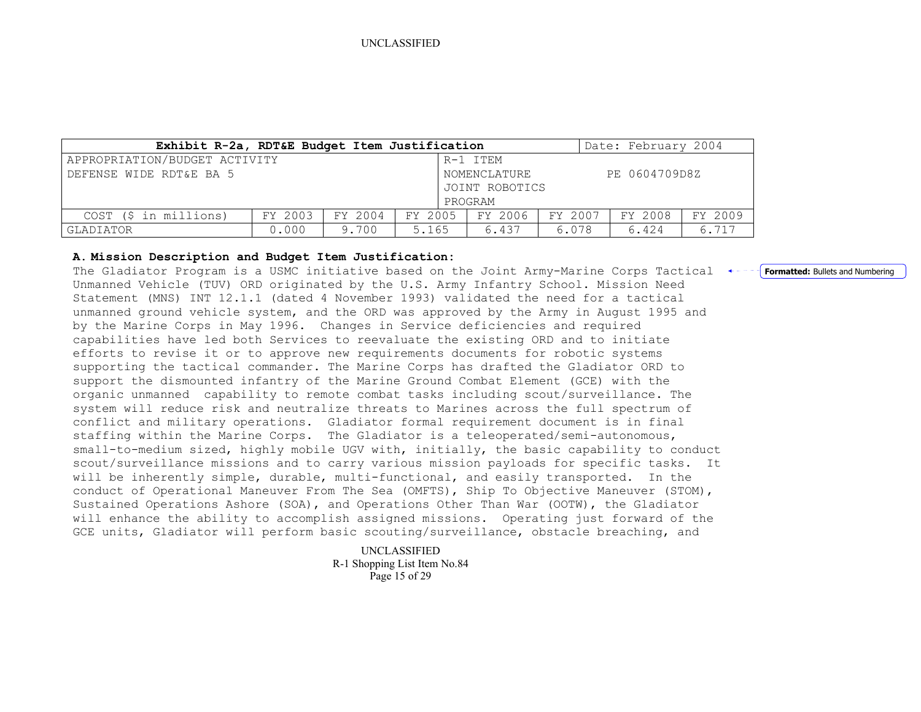| Exhibit R-2a, RDT&E Budget Item Justification |         | Date: February 2004 |         |                |         |               |         |  |  |  |  |
|-----------------------------------------------|---------|---------------------|---------|----------------|---------|---------------|---------|--|--|--|--|
| APPROPRIATION/BUDGET ACTIVITY<br>R-1 ITEM     |         |                     |         |                |         |               |         |  |  |  |  |
| DEFENSE WIDE RDT&E BA 5                       |         |                     |         | NOMENCLATURE   |         | PE 0604709D8Z |         |  |  |  |  |
|                                               |         |                     |         | JOINT ROBOTICS |         |               |         |  |  |  |  |
|                                               |         |                     |         | PROGRAM        |         |               |         |  |  |  |  |
| COST (\$ in millions)                         | FY 2003 | FY 2004             | FY 2005 | FY 2006        | FY 2007 | FY 2008       | FY 2009 |  |  |  |  |
| GLADIATOR                                     | 0.000   | 9.700               | 5.165   | 6.437          | 6.078   | 6.424         | 6.717   |  |  |  |  |

#### **A. Mission Description and Budget Item Justification:**

The Gladiator Program is a USMC initiative based on the Joint Army-Marine Corps Tactical **Formatted:** Bullets and NumberingUnmanned Vehicle (TUV) ORD originated by the U.S. Army Infantry School. Mission Need Statement (MNS) INT 12.1.1 (dated 4 November 1993) validated the need for a tactical unmanned ground vehicle system, and the ORD was approved by the Army in August 1995 and by the Marine Corps in May 1996. Changes in Service deficiencies and required capabilities have led both Services to reevaluate the existing ORD and to initiate efforts to revise it or to approve new requirements documents for robotic systems supporting the tactical commander. The Marine Corps has drafted the Gladiator ORD to support the dismounted infantry of the Marine Ground Combat Element (GCE) with the organic unmanned capability to remote combat tasks including scout/surveillance. The system will reduce risk and neutralize threats to Marines across the full spectrum of conflict and military operations. Gladiator formal requirement document is in final staffing within the Marine Corps. The Gladiator is a teleoperated/semi-autonomous, small-to-medium sized, highly mobile UGV with, initially, the basic capability to conduct scout/surveillance missions and to carry various mission payloads for specific tasks. It will be inherently simple, durable, multi-functional, and easily transported. In the conduct of Operational Maneuver From The Sea (OMFTS), Ship To Objective Maneuver (STOM), Sustained Operations Ashore (SOA), and Operations Other Than War (OOTW), the Gladiator will enhance the ability to accomplish assigned missions. Operating just forward of the GCE units, Gladiator will perform basic scouting/surveillance, obstacle breaching, and

> UNCLASSIFIED R-1 Shopping List Item No.84 Page 15 of 29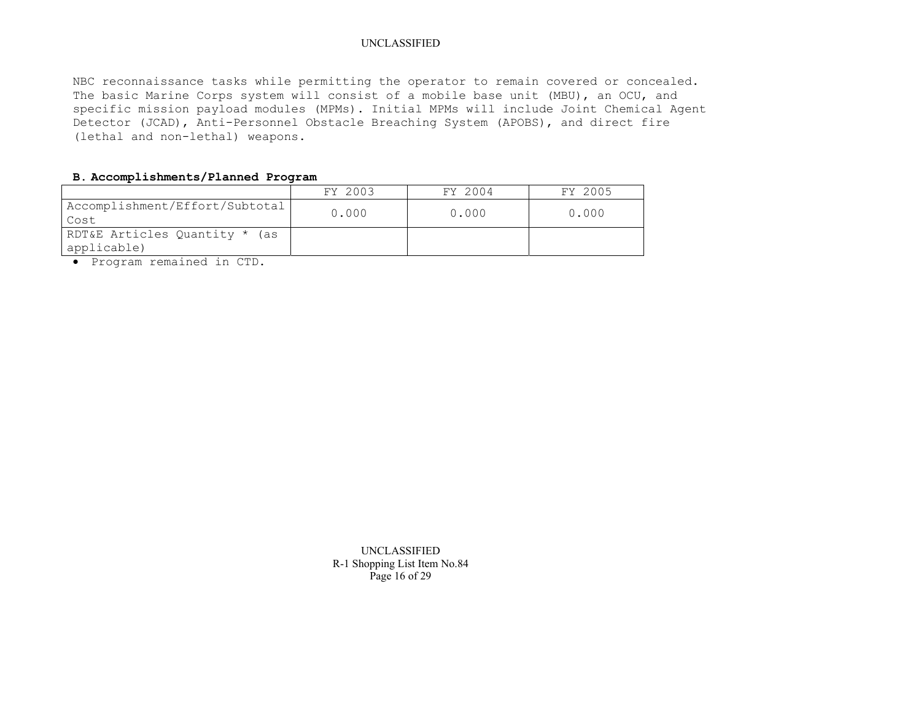NBC reconnaissance tasks while permitting the operator to remain covered or concealed. The basic Marine Corps system will consist of a mobile base unit (MBU), an OCU, and specific mission payload modules (MPMs). Initial MPMs will include Joint Chemical Agent Detector (JCAD), Anti-Personnel Obstacle Breaching System (APOBS), and direct fire (lethal and non-lethal) weapons.

### **B. Accomplishments/Planned Program**

|                                              | FY 2003 | FY 2004 | FY 2005 |
|----------------------------------------------|---------|---------|---------|
| Accomplishment/Effort/Subtotal<br>Cost       | 0.000   | 0.000   | 0.000   |
| RDT&E Articles Quantity * (as<br>applicable) |         |         |         |

• Program remained in CTD.

UNCLASSIFIED R-1 Shopping List Item No.84 Page 16 of 29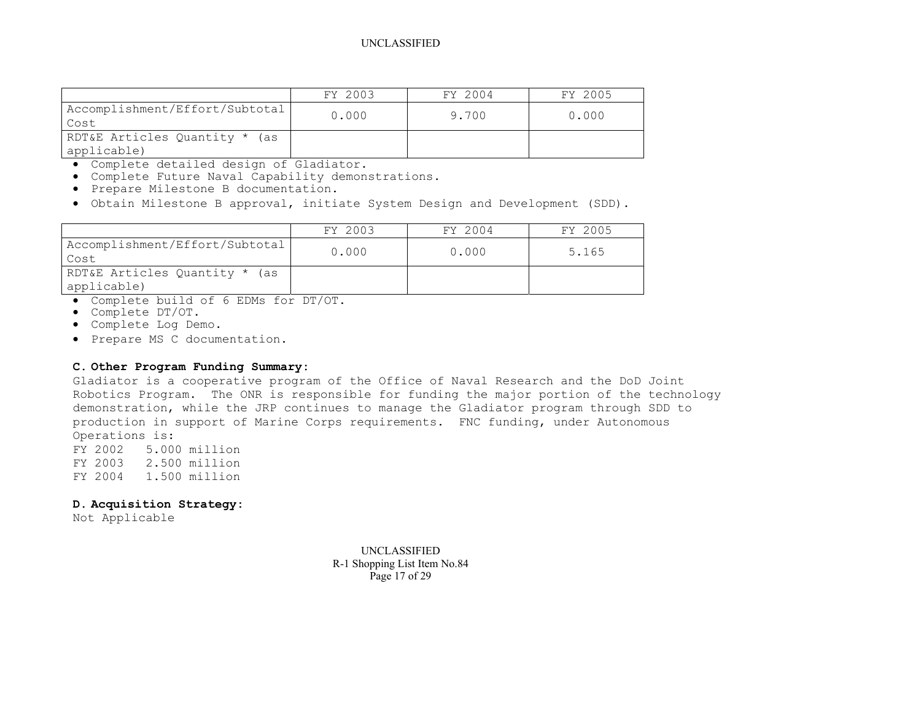|                                              | FY 2003 | FY 2004 | FY 2005 |
|----------------------------------------------|---------|---------|---------|
| Accomplishment/Effort/Subtotal<br>Cost       | 0.000   | 9.700   | 0.000   |
| RDT&E Articles Quantity * (as<br>applicable) |         |         |         |

• Complete detailed design of Gladiator.

• Complete Future Naval Capability demonstrations.

• Prepare Milestone B documentation.

• Obtain Milestone B approval, initiate System Design and Development (SDD).

|                                              | FY 2003 | FY 2004 | FY 2005 |
|----------------------------------------------|---------|---------|---------|
| Accomplishment/Effort/Subtotal<br>Cost       | 0.000   | 0.000   | 5.165   |
| RDT&E Articles Quantity * (as<br>applicable) |         |         |         |

• Complete build of 6 EDMs for DT/OT.

• Complete DT/OT.

• Complete Log Demo.

• Prepare MS C documentation.

### **C. Other Program Funding Summary:**

Gladiator is a cooperative program of the Office of Naval Research and the DoD Joint Robotics Program. The ONR is responsible for funding the major portion of the technology demonstration, while the JRP continues to manage the Gladiator program through SDD to production in support of Marine Corps requirements. FNC funding, under Autonomous Operations is:

FY 2002 5.000 million FY 2003 2.500 million FY 2004 1.500 million

### **D. Acquisition Strategy:**

Not Applicable

UNCLASSIFIED R-1 Shopping List Item No.84 Page 17 of 29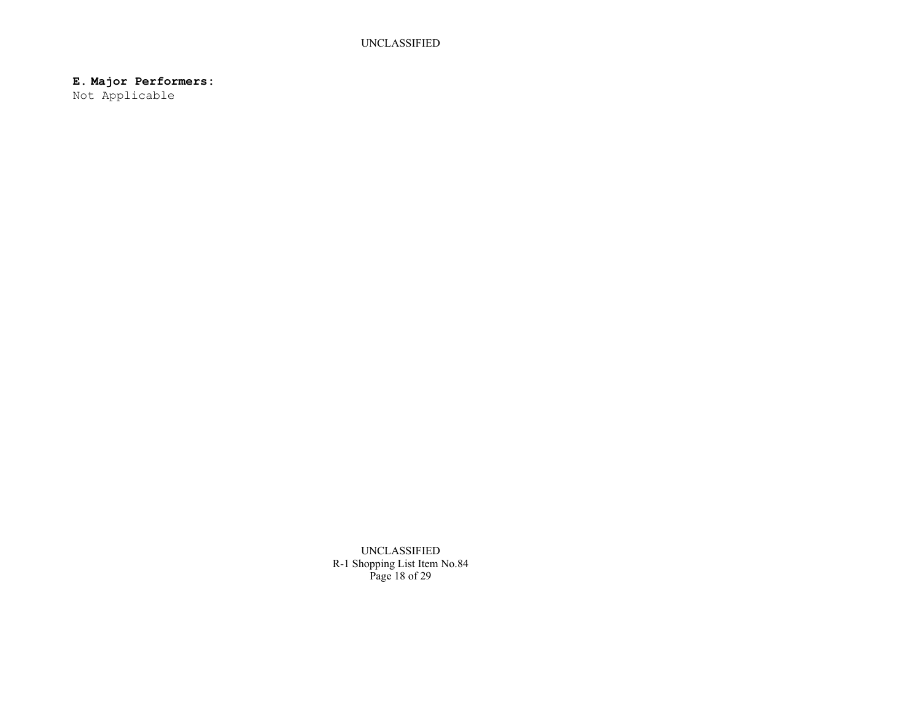#### **E. Major Performers:**

Not Applicable

UNCLASSIFIED R-1 Shopping List Item No.84 Page 18 of 29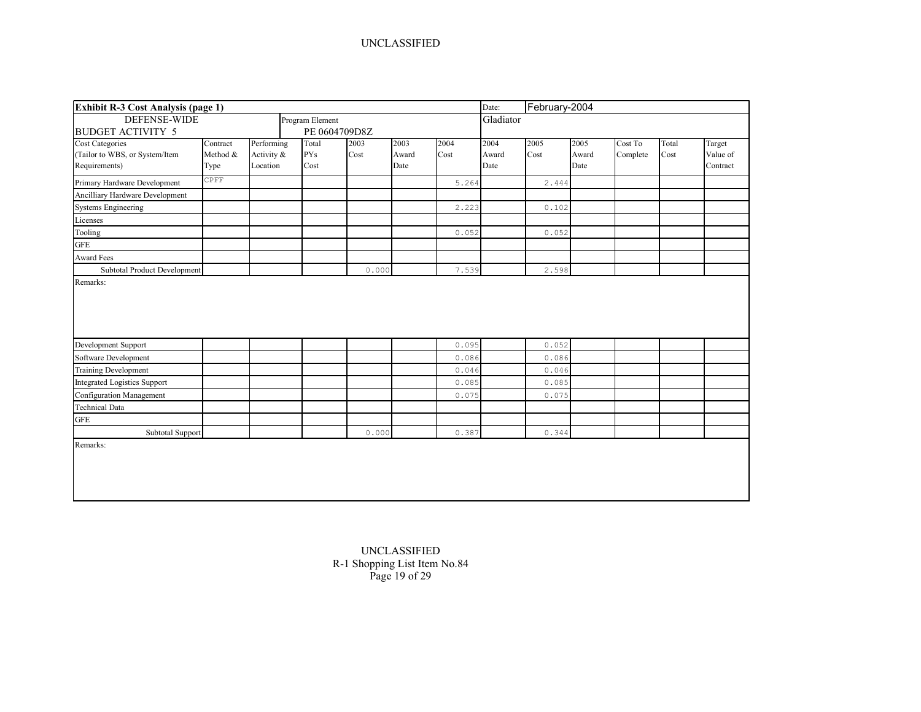| <b>Exhibit R-3 Cost Analysis (page 1)</b>                                 |                              |                                      |                             |               |                       |              | Date:                 | February-2004 |                       |                     |               |                                |
|---------------------------------------------------------------------------|------------------------------|--------------------------------------|-----------------------------|---------------|-----------------------|--------------|-----------------------|---------------|-----------------------|---------------------|---------------|--------------------------------|
| DEFENSE-WIDE                                                              |                              |                                      | Program Element             |               |                       |              | Gladiator             |               |                       |                     |               |                                |
| <b>BUDGET ACTIVITY 5</b>                                                  |                              |                                      |                             | PE 0604709D8Z |                       |              |                       |               |                       |                     |               |                                |
| <b>Cost Categories</b><br>(Tailor to WBS, or System/Item<br>Requirements) | Contract<br>Method &<br>Type | Performing<br>Activity &<br>Location | Total<br><b>PYs</b><br>Cost | 2003<br>Cost  | 2003<br>Award<br>Date | 2004<br>Cost | 2004<br>Award<br>Date | 2005<br>Cost  | 2005<br>Award<br>Date | Cost To<br>Complete | Total<br>Cost | Target<br>Value of<br>Contract |
| Primary Hardware Development                                              | CPFF                         |                                      |                             |               |                       | 5.264        |                       | 2.444         |                       |                     |               |                                |
| Ancilliary Hardware Development                                           |                              |                                      |                             |               |                       |              |                       |               |                       |                     |               |                                |
| <b>Systems Engineering</b>                                                |                              |                                      |                             |               |                       | 2.223        |                       | 0.102         |                       |                     |               |                                |
| Licenses                                                                  |                              |                                      |                             |               |                       |              |                       |               |                       |                     |               |                                |
| Tooling                                                                   |                              |                                      |                             |               |                       | 0.052        |                       | 0.052         |                       |                     |               |                                |
| <b>GFE</b>                                                                |                              |                                      |                             |               |                       |              |                       |               |                       |                     |               |                                |
| <b>Award Fees</b>                                                         |                              |                                      |                             |               |                       |              |                       |               |                       |                     |               |                                |
| <b>Subtotal Product Development</b>                                       |                              |                                      |                             | 0.000         |                       | 7.539        |                       | 2.598         |                       |                     |               |                                |
| Development Support                                                       |                              |                                      |                             |               |                       | 0.095        |                       | 0.052         |                       |                     |               |                                |
| Software Development                                                      |                              |                                      |                             |               |                       | 0.086        |                       | 0.086         |                       |                     |               |                                |
| <b>Training Development</b>                                               |                              |                                      |                             |               |                       | 0.046        |                       | 0.046         |                       |                     |               |                                |
| <b>Integrated Logistics Support</b>                                       |                              |                                      |                             |               |                       | 0.085        |                       | 0.085         |                       |                     |               |                                |
| Configuration Management                                                  |                              |                                      |                             |               |                       | 0.075        |                       | 0.075         |                       |                     |               |                                |
| <b>Technical Data</b>                                                     |                              |                                      |                             |               |                       |              |                       |               |                       |                     |               |                                |
| <b>GFE</b>                                                                |                              |                                      |                             |               |                       |              |                       |               |                       |                     |               |                                |
| Subtotal Support                                                          |                              |                                      |                             | 0.000         |                       | 0.387        |                       | 0.344         |                       |                     |               |                                |
| Remarks:                                                                  |                              |                                      |                             |               |                       |              |                       |               |                       |                     |               |                                |

UNCLASSIFIED R-1 Shopping List Item No.84 Page 19 of 29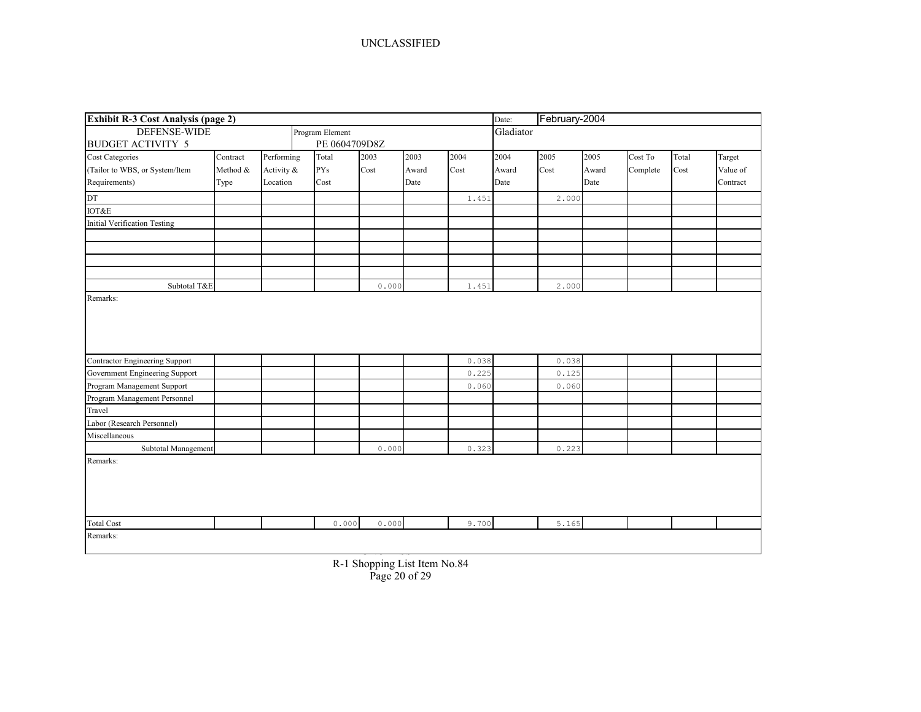| <b>Exhibit R-3 Cost Analysis (page 2)</b>                  |          |            |                 |       |       |       | Date:     | February-2004 |       |          |       |          |
|------------------------------------------------------------|----------|------------|-----------------|-------|-------|-------|-----------|---------------|-------|----------|-------|----------|
| <b>DEFENSE-WIDE</b>                                        |          |            | Program Element |       |       |       | Gladiator |               |       |          |       |          |
| <b>BUDGET ACTIVITY 5</b>                                   |          |            | PE 0604709D8Z   |       |       |       |           |               |       |          |       |          |
| Cost Categories                                            | Contract | Performing | Total           | 2003  | 2003  | 2004  | 2004      | 2005          | 2005  | Cost To  | Total | Target   |
| (Tailor to WBS, or System/Item                             | Method & | Activity & | <b>PYs</b>      | Cost  | Award | Cost  | Award     | Cost          | Award | Complete | Cost  | Value of |
| Requirements)                                              | Type     | Location   | Cost            |       | Date  |       | Date      |               | Date  |          |       | Contract |
| DT                                                         |          |            |                 |       |       | 1.451 |           | 2.000         |       |          |       |          |
| <b>IOT&amp;E</b>                                           |          |            |                 |       |       |       |           |               |       |          |       |          |
| <b>Initial Verification Testing</b>                        |          |            |                 |       |       |       |           |               |       |          |       |          |
|                                                            |          |            |                 |       |       |       |           |               |       |          |       |          |
|                                                            |          |            |                 |       |       |       |           |               |       |          |       |          |
|                                                            |          |            |                 |       |       |       |           |               |       |          |       |          |
|                                                            |          |            |                 |       |       |       |           |               |       |          |       |          |
| Subtotal T&E                                               |          |            |                 | 0.000 |       | 1.451 |           | 2.000         |       |          |       |          |
|                                                            |          |            |                 |       |       |       |           |               |       |          |       |          |
|                                                            |          |            |                 |       |       |       |           |               |       |          |       |          |
| Contractor Engineering Support                             |          |            |                 |       |       | 0.038 |           | 0.038         |       |          |       |          |
| Government Engineering Support                             |          |            |                 |       |       | 0.225 |           | 0.125         |       |          |       |          |
| Program Management Support<br>Program Management Personnel |          |            |                 |       |       | 0.060 |           | 0.060         |       |          |       |          |
| Travel                                                     |          |            |                 |       |       |       |           |               |       |          |       |          |
| Labor (Research Personnel)                                 |          |            |                 |       |       |       |           |               |       |          |       |          |
| Miscellaneous                                              |          |            |                 |       |       |       |           |               |       |          |       |          |
| Subtotal Management                                        |          |            |                 | 0.000 |       | 0.323 |           | 0.223         |       |          |       |          |
| Remarks:                                                   |          |            |                 |       |       |       |           |               |       |          |       |          |
|                                                            |          |            |                 |       |       |       |           |               |       |          |       |          |
|                                                            |          |            |                 |       |       |       |           |               |       |          |       |          |
|                                                            |          |            |                 |       |       |       |           |               |       |          |       |          |
|                                                            |          |            |                 |       |       |       |           |               |       |          |       |          |
| <b>Total Cost</b>                                          |          |            | 0.000           | 0.000 |       | 9.700 |           | 5.165         |       |          |       |          |
| Remarks:                                                   |          |            |                 |       |       |       |           |               |       |          |       |          |

R-1 Shopping List Item No.84 Page 20 of 29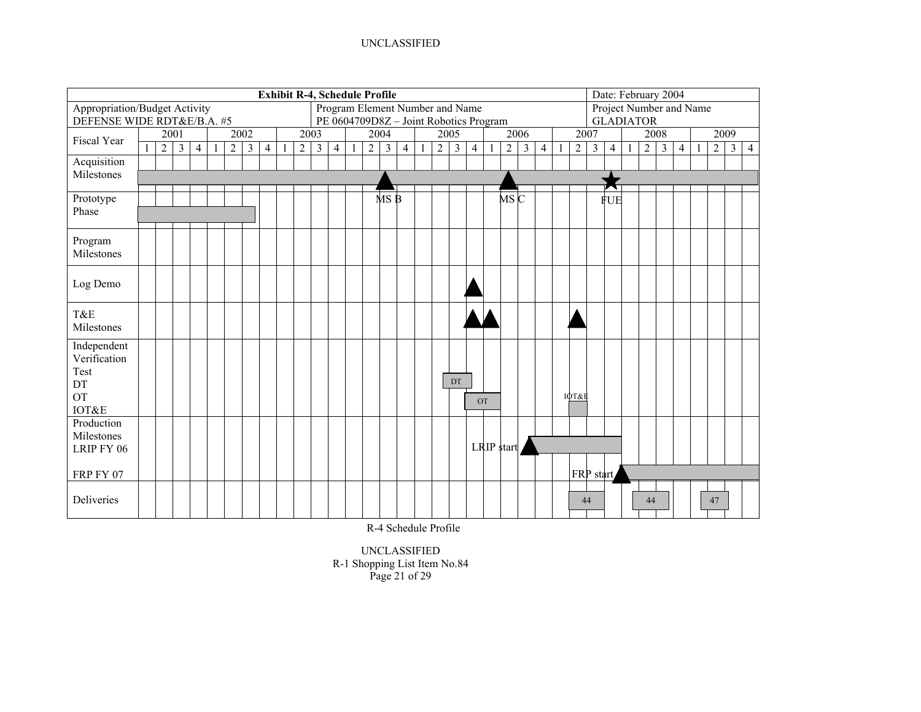|                                | <b>Exhibit R-4, Schedule Profile</b><br>Appropriation/Budget Activity<br>Program Element Number and Name<br>PE 0604709D8Z - Joint Robotics Program |                |                |                |  |                |                |                |  |                |                |                |              |                |                 |                | Date: February 2004 |                |                |                 |                |                |              |                |                         |                |                         |                |                |                |                |                |                |
|--------------------------------|----------------------------------------------------------------------------------------------------------------------------------------------------|----------------|----------------|----------------|--|----------------|----------------|----------------|--|----------------|----------------|----------------|--------------|----------------|-----------------|----------------|---------------------|----------------|----------------|-----------------|----------------|----------------|--------------|----------------|-------------------------|----------------|-------------------------|----------------|----------------|----------------|----------------|----------------|----------------|
|                                |                                                                                                                                                    |                |                |                |  |                |                |                |  |                |                |                |              |                |                 |                |                     |                |                |                 |                |                |              |                |                         |                | Project Number and Name |                |                |                |                |                |                |
| DEFENSE WIDE RDT&E/B.A. #5     |                                                                                                                                                    |                |                |                |  |                |                |                |  |                |                |                |              |                |                 |                |                     |                |                |                 |                |                |              |                |                         |                | <b>GLADIATOR</b>        |                |                |                |                |                |                |
| Fiscal Year                    |                                                                                                                                                    |                | 2001           |                |  |                | 2002           |                |  |                | 2003           |                |              |                | 2004            |                |                     | 2005           |                |                 | 2006           |                |              |                | 2007                    |                |                         |                | 2008           |                | 2009           |                |                |
|                                |                                                                                                                                                    | $\overline{2}$ | $\overline{3}$ | $\overline{4}$ |  | $\overline{2}$ | $\overline{3}$ | $\overline{4}$ |  | $\overline{2}$ | $\overline{3}$ | $\overline{4}$ | $\mathbf{1}$ | $\overline{c}$ | $\overline{3}$  | $\overline{4}$ | $\overline{2}$      | $\overline{3}$ | $\overline{4}$ | $\overline{2}$  | $\overline{3}$ | $\overline{4}$ | $\mathbf{1}$ | $\overline{2}$ | $\overline{\mathbf{3}}$ | $\overline{4}$ | $\overline{1}$          | $\overline{2}$ | $\overline{3}$ | $\overline{4}$ | $\overline{2}$ | $\overline{3}$ | $\overline{4}$ |
| Acquisition                    |                                                                                                                                                    |                |                |                |  |                |                |                |  |                |                |                |              |                |                 |                |                     |                |                |                 |                |                |              |                |                         |                |                         |                |                |                |                |                |                |
| Milestones                     |                                                                                                                                                    |                |                |                |  |                |                |                |  |                |                |                |              |                |                 |                |                     |                |                |                 |                |                |              |                |                         |                |                         |                |                |                |                |                |                |
|                                |                                                                                                                                                    |                |                |                |  |                |                |                |  |                |                |                |              |                |                 |                |                     |                |                | MS <sub>C</sub> |                |                |              |                |                         |                |                         |                |                |                |                |                |                |
| Prototype<br>Phase             |                                                                                                                                                    |                |                |                |  |                |                |                |  |                |                |                |              |                | MS <sub>B</sub> |                |                     |                |                |                 |                |                |              |                |                         | ₽UΕ            |                         |                |                |                |                |                |                |
|                                |                                                                                                                                                    |                |                |                |  |                |                |                |  |                |                |                |              |                |                 |                |                     |                |                |                 |                |                |              |                |                         |                |                         |                |                |                |                |                |                |
| Program                        |                                                                                                                                                    |                |                |                |  |                |                |                |  |                |                |                |              |                |                 |                |                     |                |                |                 |                |                |              |                |                         |                |                         |                |                |                |                |                |                |
| Milestones                     |                                                                                                                                                    |                |                |                |  |                |                |                |  |                |                |                |              |                |                 |                |                     |                |                |                 |                |                |              |                |                         |                |                         |                |                |                |                |                |                |
|                                |                                                                                                                                                    |                |                |                |  |                |                |                |  |                |                |                |              |                |                 |                |                     |                |                |                 |                |                |              |                |                         |                |                         |                |                |                |                |                |                |
| Log Demo                       |                                                                                                                                                    |                |                |                |  |                |                |                |  |                |                |                |              |                |                 |                |                     |                |                |                 |                |                |              |                |                         |                |                         |                |                |                |                |                |                |
|                                |                                                                                                                                                    |                |                |                |  |                |                |                |  |                |                |                |              |                |                 |                |                     |                |                |                 |                |                |              |                |                         |                |                         |                |                |                |                |                |                |
| T&E                            |                                                                                                                                                    |                |                |                |  |                |                |                |  |                |                |                |              |                |                 |                |                     |                |                |                 |                |                |              |                |                         |                |                         |                |                |                |                |                |                |
| Milestones                     |                                                                                                                                                    |                |                |                |  |                |                |                |  |                |                |                |              |                |                 |                |                     |                |                |                 |                |                |              |                |                         |                |                         |                |                |                |                |                |                |
|                                |                                                                                                                                                    |                |                |                |  |                |                |                |  |                |                |                |              |                |                 |                |                     |                |                |                 |                |                |              |                |                         |                |                         |                |                |                |                |                |                |
| Independent                    |                                                                                                                                                    |                |                |                |  |                |                |                |  |                |                |                |              |                |                 |                |                     |                |                |                 |                |                |              |                |                         |                |                         |                |                |                |                |                |                |
| Verification                   |                                                                                                                                                    |                |                |                |  |                |                |                |  |                |                |                |              |                |                 |                |                     |                |                |                 |                |                |              |                |                         |                |                         |                |                |                |                |                |                |
| Test<br>DT                     |                                                                                                                                                    |                |                |                |  |                |                |                |  |                |                |                |              |                |                 |                |                     | DT             |                |                 |                |                |              |                |                         |                |                         |                |                |                |                |                |                |
| <b>OT</b>                      |                                                                                                                                                    |                |                |                |  |                |                |                |  |                |                |                |              |                |                 |                |                     |                |                |                 |                |                |              | IOT&E          |                         |                |                         |                |                |                |                |                |                |
| $\ensuremath{\mathrm{IOT\&E}}$ |                                                                                                                                                    |                |                |                |  |                |                |                |  |                |                |                |              |                |                 |                |                     |                | <b>OT</b>      |                 |                |                |              |                |                         |                |                         |                |                |                |                |                |                |
| Production                     |                                                                                                                                                    |                |                |                |  |                |                |                |  |                |                |                |              |                |                 |                |                     |                |                |                 |                |                |              |                |                         |                |                         |                |                |                |                |                |                |
| Milestones                     |                                                                                                                                                    |                |                |                |  |                |                |                |  |                |                |                |              |                |                 |                |                     |                |                |                 |                |                |              |                |                         |                |                         |                |                |                |                |                |                |
| LRIP FY 06                     |                                                                                                                                                    |                |                |                |  |                |                |                |  |                |                |                |              |                |                 |                |                     |                |                | LRIP $star$     |                |                |              |                |                         |                |                         |                |                |                |                |                |                |
|                                |                                                                                                                                                    |                |                |                |  |                |                |                |  |                |                |                |              |                |                 |                |                     |                |                |                 |                |                |              |                |                         |                |                         |                |                |                |                |                |                |
| FRP FY 07                      |                                                                                                                                                    |                |                |                |  |                |                |                |  |                |                |                |              |                |                 |                |                     |                |                |                 |                |                |              |                | FRP start               |                |                         |                |                |                |                |                |                |
|                                |                                                                                                                                                    |                |                |                |  |                |                |                |  |                |                |                |              |                |                 |                |                     |                |                |                 |                |                |              |                |                         |                |                         |                |                |                |                |                |                |
| Deliveries                     |                                                                                                                                                    |                |                |                |  |                |                |                |  |                |                |                |              |                |                 |                |                     |                |                |                 |                |                |              |                | 44                      |                |                         | 44             |                |                | 47             |                |                |
|                                |                                                                                                                                                    |                |                |                |  |                |                |                |  |                |                |                |              |                |                 |                |                     |                |                |                 |                |                |              |                |                         |                |                         |                |                |                |                |                |                |

R-4 Schedule Profile

UNCLASSIFIED R-1 Shopping List Item No.84 Page 21 of 29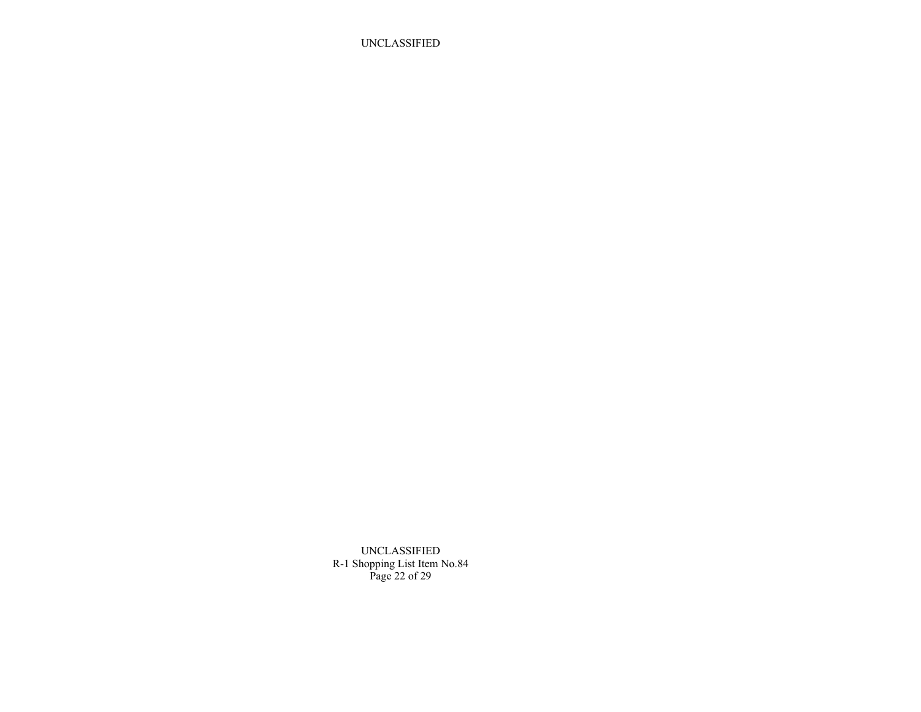UNCLASSIFIED R-1 Shopping List Item No.84 Page 22 of 29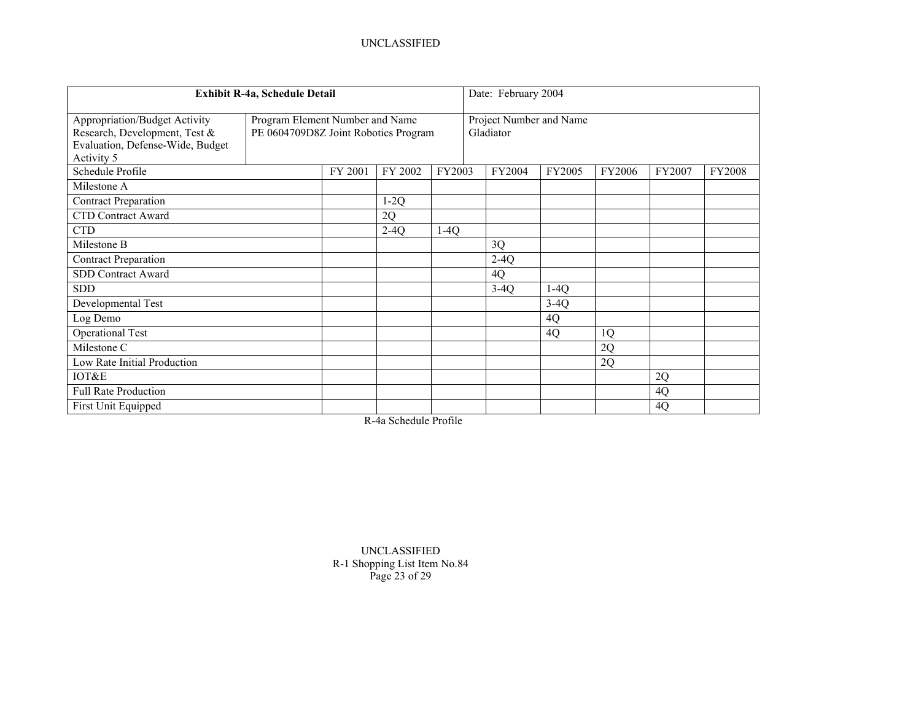|                                                                                                                  | Exhibit R-4a, Schedule Detail                                           |         |         |        | Date: February 2004                  |        |               |        |               |
|------------------------------------------------------------------------------------------------------------------|-------------------------------------------------------------------------|---------|---------|--------|--------------------------------------|--------|---------------|--------|---------------|
| Appropriation/Budget Activity<br>Research, Development, Test &<br>Evaluation, Defense-Wide, Budget<br>Activity 5 | Program Element Number and Name<br>PE 0604709D8Z Joint Robotics Program |         |         |        | Project Number and Name<br>Gladiator |        |               |        |               |
| Schedule Profile                                                                                                 |                                                                         | FY 2001 | FY 2002 | FY2003 | FY2004                               | FY2005 | <b>FY2006</b> | FY2007 | <b>FY2008</b> |
| Milestone A                                                                                                      |                                                                         |         |         |        |                                      |        |               |        |               |
| <b>Contract Preparation</b>                                                                                      |                                                                         |         | $1-2Q$  |        |                                      |        |               |        |               |
| <b>CTD Contract Award</b>                                                                                        |                                                                         |         | 2Q      |        |                                      |        |               |        |               |
| <b>CTD</b>                                                                                                       |                                                                         |         | $2-4Q$  | $1-4Q$ |                                      |        |               |        |               |
| Milestone B                                                                                                      |                                                                         |         |         |        | 3Q                                   |        |               |        |               |
| <b>Contract Preparation</b>                                                                                      |                                                                         |         |         |        | $2-4Q$                               |        |               |        |               |
| <b>SDD Contract Award</b>                                                                                        |                                                                         |         |         |        | 4Q                                   |        |               |        |               |
| <b>SDD</b>                                                                                                       |                                                                         |         |         |        | $3-4Q$                               | $1-4Q$ |               |        |               |
| Developmental Test                                                                                               |                                                                         |         |         |        |                                      | $3-4Q$ |               |        |               |
| Log Demo                                                                                                         |                                                                         |         |         |        |                                      | 4Q     |               |        |               |
| <b>Operational Test</b>                                                                                          |                                                                         |         |         |        |                                      | 4Q     | 1Q            |        |               |
| Milestone C                                                                                                      |                                                                         |         |         |        |                                      |        | 2Q            |        |               |
| Low Rate Initial Production                                                                                      |                                                                         |         |         |        |                                      |        | 2Q            |        |               |
| IOT&E                                                                                                            |                                                                         |         |         |        |                                      |        |               | 2Q     |               |
| Full Rate Production                                                                                             |                                                                         |         |         |        |                                      |        | 4Q            |        |               |
| First Unit Equipped                                                                                              |                                                                         |         |         |        |                                      |        |               | 4Q     |               |

R-4a Schedule Profile

UNCLASSIFIED R-1 Shopping List Item No.84 Page 23 of 29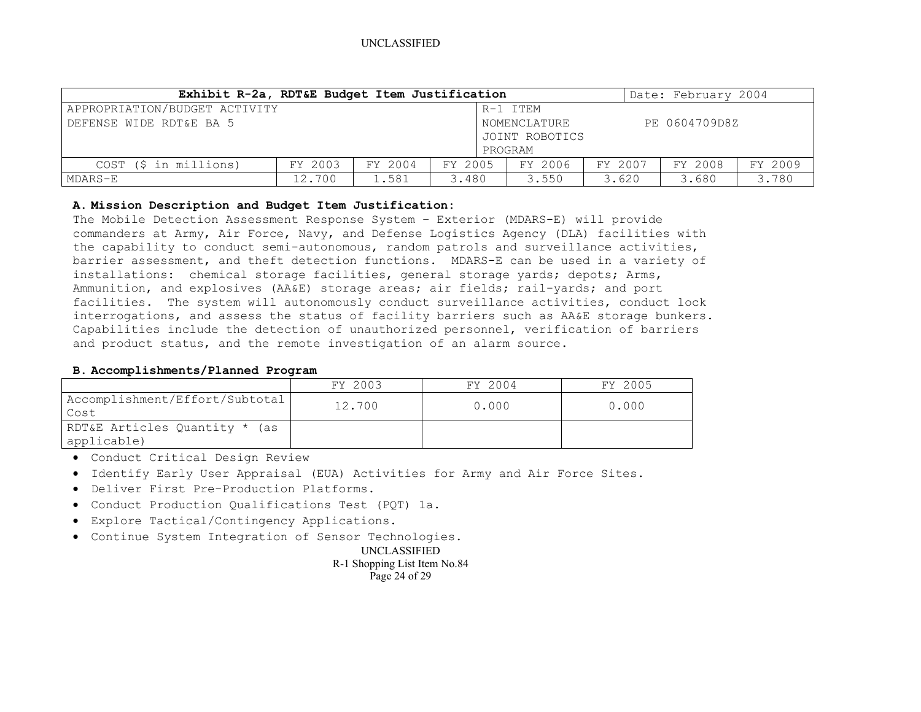| Exhibit R-2a, RDT&E Budget Item Justification            |         |         |         |                                                       |         | Date: February 2004 |         |
|----------------------------------------------------------|---------|---------|---------|-------------------------------------------------------|---------|---------------------|---------|
| APPROPRIATION/BUDGET ACTIVITY<br>DEFENSE WIDE RDT&E BA 5 |         |         |         | R-1 ITEM<br>NOMENCLATURE<br>JOINT ROBOTICS<br>PROGRAM |         | PE 0604709D8Z       |         |
| COST (\$ in millions)                                    | FY 2003 | FY 2004 | FY 2005 | FY 2006                                               | FY 2007 | FY 2008             | FY 2009 |
| MDARS-E                                                  | 12,700  | 1.581   | 3.480   | 3.550                                                 | 3.620   | 3.680               | 3.780   |

#### **A. Mission Description and Budget Item Justification:**

The Mobile Detection Assessment Response System – Exterior (MDARS-E) will provide commanders at Army, Air Force, Navy, and Defense Logistics Agency (DLA) facilities with the capability to conduct semi-autonomous, random patrols and surveillance activities, barrier assessment, and theft detection functions. MDARS-E can be used in a variety of installations: chemical storage facilities, general storage yards; depots; Arms, Ammunition, and explosives (AA&E) storage areas; air fields; rail-yards; and port facilities. The system will autonomously conduct surveillance activities, conduct lock interrogations, and assess the status of facility barriers such as AA&E storage bunkers. Capabilities include the detection of unauthorized personnel, verification of barriers and product status, and the remote investigation of an alarm source.

#### **B. Accomplishments/Planned Program**

|                                | FY 2003 | FY 2004 | FY 2005 |
|--------------------------------|---------|---------|---------|
| Accomplishment/Effort/Subtotal | 12.700  | 0.000   | 0.000   |
| Cost                           |         |         |         |
| RDT&E Articles Quantity * (as  |         |         |         |
| applicable)                    |         |         |         |

• Conduct Critical Design Review

- Identify Early User Appraisal (EUA) Activities for Army and Air Force Sites.
- Deliver First Pre-Production Platforms.
- Conduct Production Qualifications Test (PQT) 1a.
- Explore Tactical/Contingency Applications.
- Continue System Integration of Sensor Technologies.

UNCLASSIFIED R-1 Shopping List Item No.84 Page 24 of 29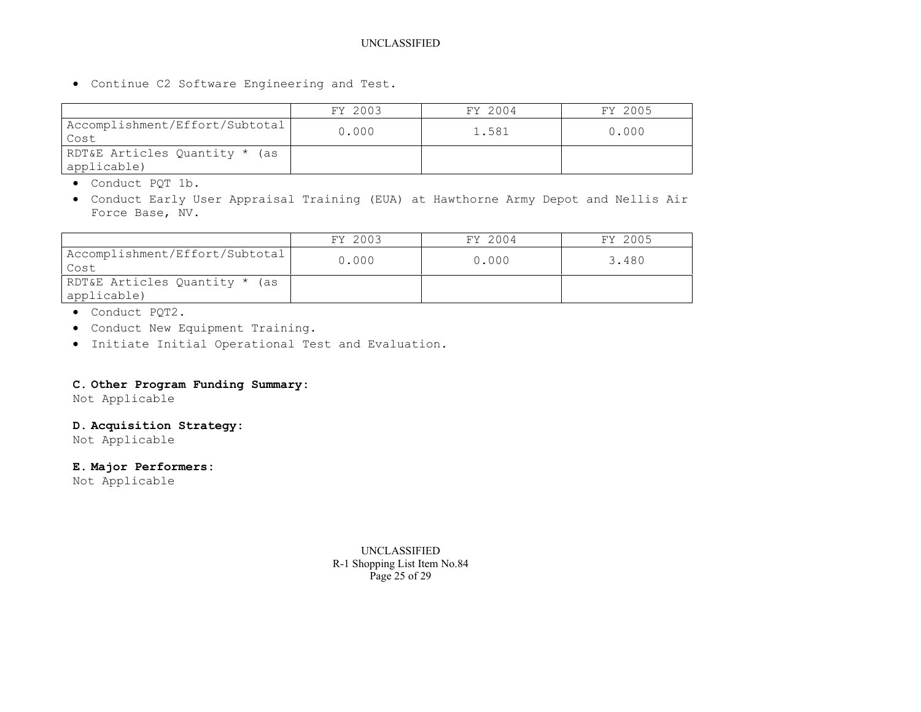• Continue C2 Software Engineering and Test.

|                                              | FY 2003 | FY 2004 | FY 2005 |
|----------------------------------------------|---------|---------|---------|
| Accomplishment/Effort/Subtotal<br>Cost       | 0.000   | 1.581   | 0.000   |
| RDT&E Articles Quantity * (as<br>applicable) |         |         |         |

• Conduct PQT 1b.

• Conduct Early User Appraisal Training (EUA) at Hawthorne Army Depot and Nellis Air Force Base, NV.

|                                              | FY 2003 | FY 2004 | FY 2005 |
|----------------------------------------------|---------|---------|---------|
| Accomplishment/Effort/Subtotal<br>Cost       | 0.000   | 0.000   | 3.480   |
| RDT&E Articles Quantity * (as<br>applicable) |         |         |         |

• Conduct PQT2.

• Conduct New Equipment Training.

• Initiate Initial Operational Test and Evaluation.

# **C. Other Program Funding Summary:**

Not Applicable

# **D. Acquisition Strategy:**

Not Applicable

# **E. Major Performers:**

Not Applicable

UNCLASSIFIED R-1 Shopping List Item No.84 Page 25 of 29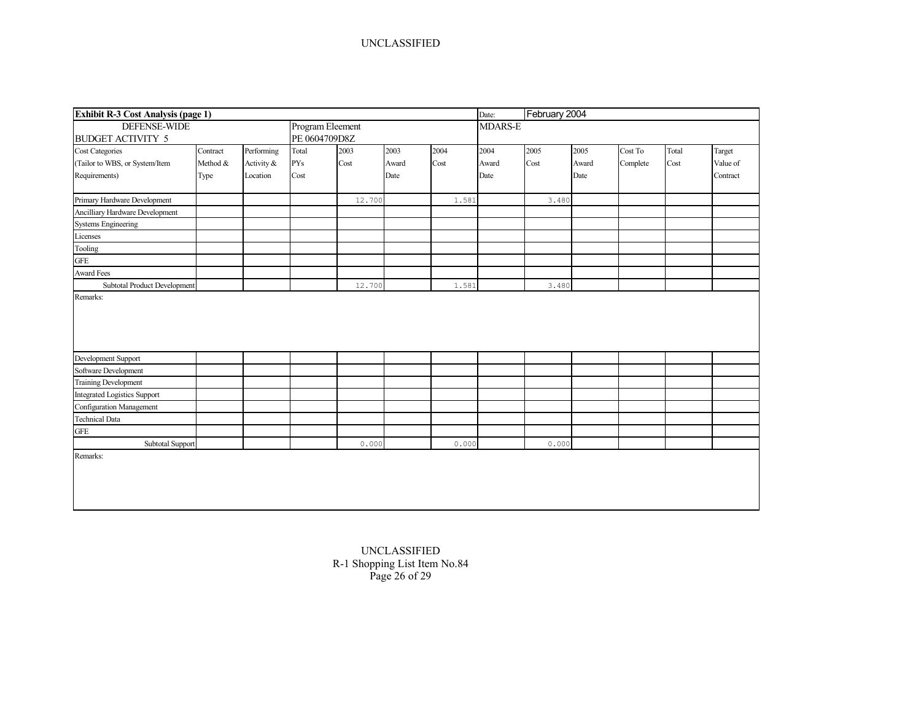| <b>Exhibit R-3 Cost Analysis (page 1)</b> |          |            |                  |        | Date: | February 2004 |                |       |       |          |       |          |
|-------------------------------------------|----------|------------|------------------|--------|-------|---------------|----------------|-------|-------|----------|-------|----------|
| <b>DEFENSE-WIDE</b>                       |          |            | Program Eleement |        |       |               | <b>MDARS-E</b> |       |       |          |       |          |
| <b>BUDGET ACTIVITY 5</b>                  |          |            | PE 0604709D8Z    |        |       |               |                |       |       |          |       |          |
| <b>Cost Categories</b>                    | Contract | Performing | Total            | 2003   | 2003  | 2004          | 2004           | 2005  | 2005  | Cost To  | Total | Target   |
| (Tailor to WBS, or System/Item            | Method & | Activity & | <b>PYs</b>       | Cost   | Award | Cost          | Award          | Cost  | Award | Complete | Cost  | Value of |
| Requirements)                             | Type     | Location   | Cost             |        | Date  |               | Date           |       | Date  |          |       | Contract |
| Primary Hardware Development              |          |            |                  | 12.700 |       | 1.581         |                | 3.480 |       |          |       |          |
| Ancilliary Hardware Development           |          |            |                  |        |       |               |                |       |       |          |       |          |
| <b>Systems Engineering</b>                |          |            |                  |        |       |               |                |       |       |          |       |          |
| Licenses                                  |          |            |                  |        |       |               |                |       |       |          |       |          |
| Tooling                                   |          |            |                  |        |       |               |                |       |       |          |       |          |
| <b>GFE</b>                                |          |            |                  |        |       |               |                |       |       |          |       |          |
| <b>Award Fees</b>                         |          |            |                  |        |       |               |                |       |       |          |       |          |
| Subtotal Product Development              |          |            |                  | 12.700 |       | 1.581         |                | 3.480 |       |          |       |          |
|                                           |          |            |                  |        |       |               |                |       |       |          |       |          |
| Development Support                       |          |            |                  |        |       |               |                |       |       |          |       |          |
| Software Development                      |          |            |                  |        |       |               |                |       |       |          |       |          |
| <b>Training Development</b>               |          |            |                  |        |       |               |                |       |       |          |       |          |
| <b>Integrated Logistics Support</b>       |          |            |                  |        |       |               |                |       |       |          |       |          |
| Configuration Management                  |          |            |                  |        |       |               |                |       |       |          |       |          |
| <b>Technical Data</b>                     |          |            |                  |        |       |               |                |       |       |          |       |          |
| <b>GFE</b>                                |          |            |                  |        |       |               |                |       |       |          |       |          |
| Subtotal Support                          |          |            |                  | 0.000  |       | 0.000         |                | 0.000 |       |          |       |          |
| Remarks:                                  |          |            |                  |        |       |               |                |       |       |          |       |          |

UNCLASSIFIED R-1 Shopping List Item No.84 Page 26 of 29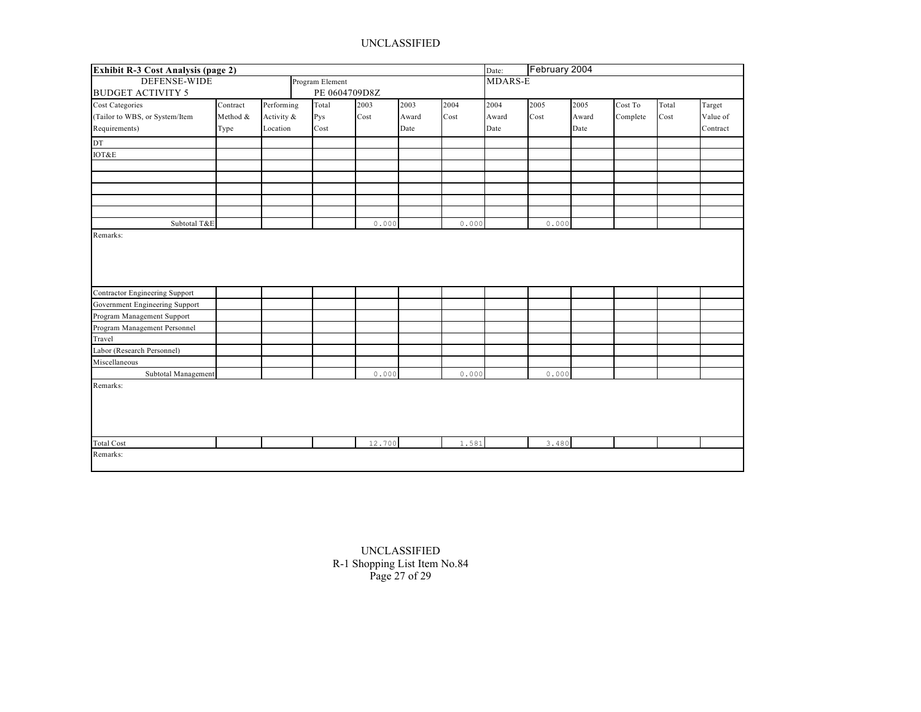| Exhibit R-3 Cost Analysis (page 2) |          |            |                 |               | Date: | February 2004 |                |       |       |          |       |          |
|------------------------------------|----------|------------|-----------------|---------------|-------|---------------|----------------|-------|-------|----------|-------|----------|
| <b>DEFENSE-WIDE</b>                |          |            | Program Element |               |       |               | <b>MDARS-E</b> |       |       |          |       |          |
| <b>BUDGET ACTIVITY 5</b>           |          |            |                 | PE 0604709D8Z |       |               |                |       |       |          |       |          |
| <b>Cost Categories</b>             | Contract | Performing | Total           | 2003          | 2003  | 2004          | 2004           | 2005  | 2005  | Cost To  | Total | Target   |
| (Tailor to WBS, or System/Item     | Method & | Activity & | Pys             | Cost          | Award | Cost          | Award          | Cost  | Award | Complete | Cost  | Value of |
| Requirements)                      | Type     | Location   | Cost            |               | Date  |               | Date           |       | Date  |          |       | Contract |
| DT                                 |          |            |                 |               |       |               |                |       |       |          |       |          |
| <b>IOT&amp;E</b>                   |          |            |                 |               |       |               |                |       |       |          |       |          |
|                                    |          |            |                 |               |       |               |                |       |       |          |       |          |
|                                    |          |            |                 |               |       |               |                |       |       |          |       |          |
|                                    |          |            |                 |               |       |               |                |       |       |          |       |          |
|                                    |          |            |                 |               |       |               |                |       |       |          |       |          |
|                                    |          |            |                 |               |       |               |                |       |       |          |       |          |
| Subtotal T&E<br>Remarks:           |          |            |                 | 0.000         |       | 0.000         |                | 0.000 |       |          |       |          |
|                                    |          |            |                 |               |       |               |                |       |       |          |       |          |
| Contractor Engineering Support     |          |            |                 |               |       |               |                |       |       |          |       |          |
| Government Engineering Support     |          |            |                 |               |       |               |                |       |       |          |       |          |
| Program Management Support         |          |            |                 |               |       |               |                |       |       |          |       |          |
| Program Management Personnel       |          |            |                 |               |       |               |                |       |       |          |       |          |
| Travel                             |          |            |                 |               |       |               |                |       |       |          |       |          |
| Labor (Research Personnel)         |          |            |                 |               |       |               |                |       |       |          |       |          |
| Miscellaneous                      |          |            |                 |               |       |               |                |       |       |          |       |          |
| Subtotal Management                |          |            |                 | 0.000         |       | 0.000         |                | 0.000 |       |          |       |          |
| Remarks:                           |          |            |                 |               |       |               |                |       |       |          |       |          |
|                                    |          |            |                 |               |       |               |                |       |       |          |       |          |
|                                    |          |            |                 |               |       |               |                |       |       |          |       |          |
|                                    |          |            |                 |               |       |               |                |       |       |          |       |          |
| <b>Total Cost</b>                  |          |            |                 | 12.700        |       | 1.581         |                | 3.480 |       |          |       |          |
| Remarks:                           |          |            |                 |               |       |               |                |       |       |          |       |          |
|                                    |          |            |                 |               |       |               |                |       |       |          |       |          |

UNCLASSIFIED R-1 Shopping List Item No.84 Page 27 of 29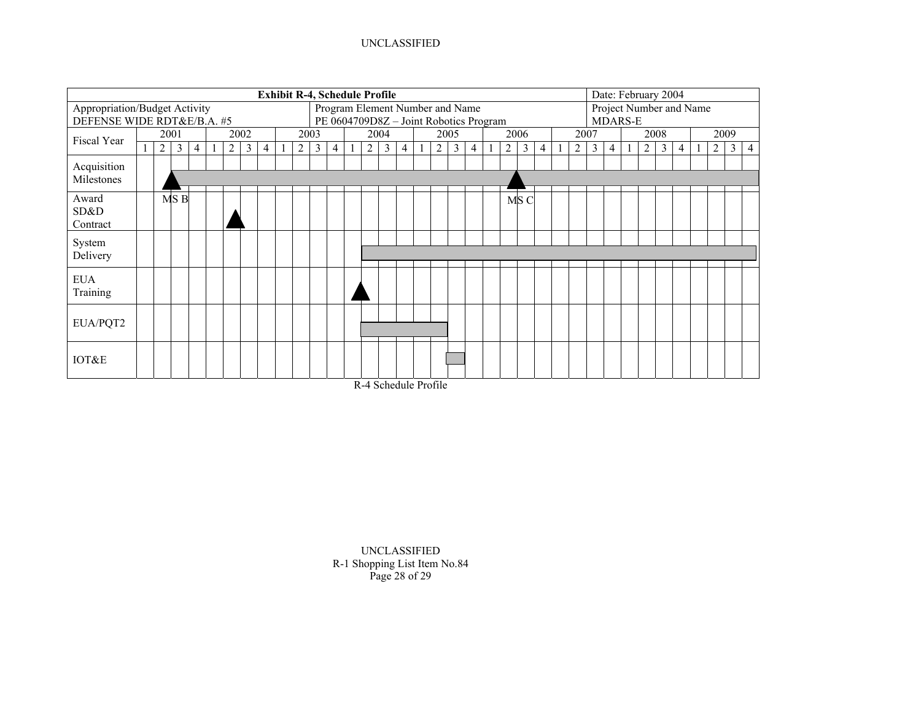|             |                                                                                                                                                                  |                |                 |   |  |   |   |   |  |   | <b>Exhibit R-4, Schedule Profile</b> |                |  |                |      |                |                |      |                |   |   |                 |   |      |   |                | Date: February 2004 |      |                         |   |                |                |
|-------------|------------------------------------------------------------------------------------------------------------------------------------------------------------------|----------------|-----------------|---|--|---|---|---|--|---|--------------------------------------|----------------|--|----------------|------|----------------|----------------|------|----------------|---|---|-----------------|---|------|---|----------------|---------------------|------|-------------------------|---|----------------|----------------|
|             | Appropriation/Budget Activity<br>Program Element Number and Name<br>DEFENSE WIDE RDT&E/B.A. #5<br>PE 0604709D8Z - Joint Robotics Program<br>2001<br>2002<br>2003 |                |                 |   |  |   |   |   |  |   |                                      |                |  |                |      |                |                |      |                |   |   |                 |   |      |   | <b>MDARS-E</b> |                     |      | Project Number and Name |   |                |                |
| Fiscal Year |                                                                                                                                                                  |                |                 |   |  |   |   |   |  |   |                                      |                |  |                | 2004 |                |                | 2005 |                |   |   | 2006            |   | 2007 |   |                |                     | 2008 |                         |   | 2009           |                |
|             |                                                                                                                                                                  | $\overline{2}$ | 3               | 4 |  | 2 | 3 | 4 |  | 2 | 3                                    | $\overline{4}$ |  | $\overline{2}$ | 3    | $\overline{4}$ | $\overline{c}$ | 3    | $\overline{4}$ | 1 | 2 | 3               | 4 | 2    | 3 | $\overline{4}$ | $\overline{2}$      | 3    | $\overline{4}$          | 2 | $\overline{3}$ | $\overline{4}$ |
| Acquisition |                                                                                                                                                                  |                |                 |   |  |   |   |   |  |   |                                      |                |  |                |      |                |                |      |                |   |   |                 |   |      |   |                |                     |      |                         |   |                |                |
| Milestones  |                                                                                                                                                                  |                |                 |   |  |   |   |   |  |   |                                      |                |  |                |      |                |                |      |                |   |   |                 |   |      |   |                |                     |      |                         |   |                |                |
| Award       |                                                                                                                                                                  |                | MS <sub>B</sub> |   |  |   |   |   |  |   |                                      |                |  |                |      |                |                |      |                |   |   | MS <sub>C</sub> |   |      |   |                |                     |      |                         |   |                |                |
| SD&D        |                                                                                                                                                                  |                |                 |   |  |   |   |   |  |   |                                      |                |  |                |      |                |                |      |                |   |   |                 |   |      |   |                |                     |      |                         |   |                |                |
| Contract    |                                                                                                                                                                  |                |                 |   |  |   |   |   |  |   |                                      |                |  |                |      |                |                |      |                |   |   |                 |   |      |   |                |                     |      |                         |   |                |                |
| System      |                                                                                                                                                                  |                |                 |   |  |   |   |   |  |   |                                      |                |  |                |      |                |                |      |                |   |   |                 |   |      |   |                |                     |      |                         |   |                |                |
| Delivery    |                                                                                                                                                                  |                |                 |   |  |   |   |   |  |   |                                      |                |  |                |      |                |                |      |                |   |   |                 |   |      |   |                |                     |      |                         |   |                |                |
|             |                                                                                                                                                                  |                |                 |   |  |   |   |   |  |   |                                      |                |  |                |      |                |                |      |                |   |   |                 |   |      |   |                |                     |      |                         |   |                |                |
| <b>EUA</b>  |                                                                                                                                                                  |                |                 |   |  |   |   |   |  |   |                                      |                |  |                |      |                |                |      |                |   |   |                 |   |      |   |                |                     |      |                         |   |                |                |
| Training    |                                                                                                                                                                  |                |                 |   |  |   |   |   |  |   |                                      |                |  |                |      |                |                |      |                |   |   |                 |   |      |   |                |                     |      |                         |   |                |                |
|             |                                                                                                                                                                  |                |                 |   |  |   |   |   |  |   |                                      |                |  |                |      |                |                |      |                |   |   |                 |   |      |   |                |                     |      |                         |   |                |                |
| EUA/PQT2    |                                                                                                                                                                  |                |                 |   |  |   |   |   |  |   |                                      |                |  |                |      |                |                |      |                |   |   |                 |   |      |   |                |                     |      |                         |   |                |                |
| IOT&E       |                                                                                                                                                                  |                |                 |   |  |   |   |   |  |   |                                      |                |  |                |      |                |                |      |                |   |   |                 |   |      |   |                |                     |      |                         |   |                |                |
|             |                                                                                                                                                                  |                |                 |   |  |   |   |   |  |   |                                      |                |  |                |      |                |                |      |                |   |   |                 |   |      |   |                |                     |      |                         |   |                |                |

R-4 Schedule Profile

UNCLASSIFIED R-1 Shopping List Item No.84 Page 28 of 29